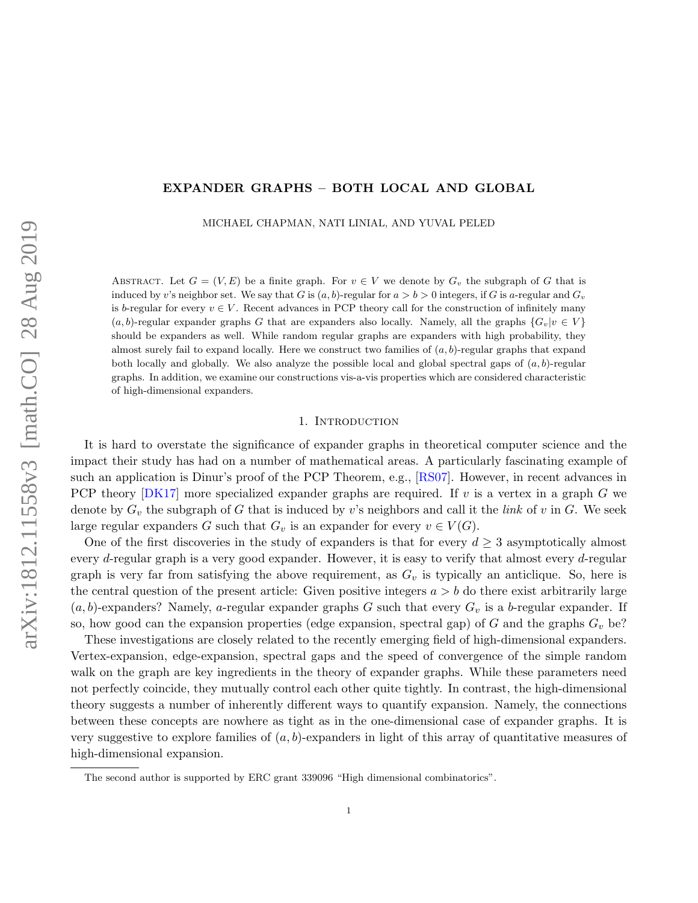# EXPANDER GRAPHS – BOTH LOCAL AND GLOBAL

MICHAEL CHAPMAN, NATI LINIAL, AND YUVAL PELED

ABSTRACT. Let  $G = (V, E)$  be a finite graph. For  $v \in V$  we denote by  $G_v$  the subgraph of G that is induced by v's neighbor set. We say that G is  $(a, b)$ -regular for  $a > b > 0$  integers, if G is a-regular and  $G_v$ is b-regular for every  $v \in V$ . Recent advances in PCP theory call for the construction of infinitely many  $(a, b)$ -regular expander graphs G that are expanders also locally. Namely, all the graphs  ${G_v|v \in V}$ should be expanders as well. While random regular graphs are expanders with high probability, they almost surely fail to expand locally. Here we construct two families of  $(a, b)$ -regular graphs that expand both locally and globally. We also analyze the possible local and global spectral gaps of  $(a, b)$ -regular graphs. In addition, we examine our constructions vis-a-vis properties which are considered characteristic of high-dimensional expanders.

## 1. INTRODUCTION

It is hard to overstate the significance of expander graphs in theoretical computer science and the impact their study has had on a number of mathematical areas. A particularly fascinating example of such an application is Dinur's proof of the PCP Theorem, e.g., [\[RS07\]](#page-28-0). However, in recent advances in PCP theory  $[DK17]$  more specialized expander graphs are required. If v is a vertex in a graph G we denote by  $G_v$  the subgraph of G that is induced by v's neighbors and call it the *link* of v in G. We seek large regular expanders G such that  $G_v$  is an expander for every  $v \in V(G)$ .

One of the first discoveries in the study of expanders is that for every  $d \geq 3$  asymptotically almost every d-regular graph is a very good expander. However, it is easy to verify that almost every d-regular graph is very far from satisfying the above requirement, as  $G_v$  is typically an anticlique. So, here is the central question of the present article: Given positive integers  $a > b$  do there exist arbitrarily large  $(a, b)$ -expanders? Namely, a-regular expander graphs G such that every  $G_v$  is a b-regular expander. If so, how good can the expansion properties (edge expansion, spectral gap) of G and the graphs  $G_v$  be?

These investigations are closely related to the recently emerging field of high-dimensional expanders. Vertex-expansion, edge-expansion, spectral gaps and the speed of convergence of the simple random walk on the graph are key ingredients in the theory of expander graphs. While these parameters need not perfectly coincide, they mutually control each other quite tightly. In contrast, the high-dimensional theory suggests a number of inherently different ways to quantify expansion. Namely, the connections between these concepts are nowhere as tight as in the one-dimensional case of expander graphs. It is very suggestive to explore families of  $(a, b)$ -expanders in light of this array of quantitative measures of high-dimensional expansion.

The second author is supported by ERC grant 339096 "High dimensional combinatorics".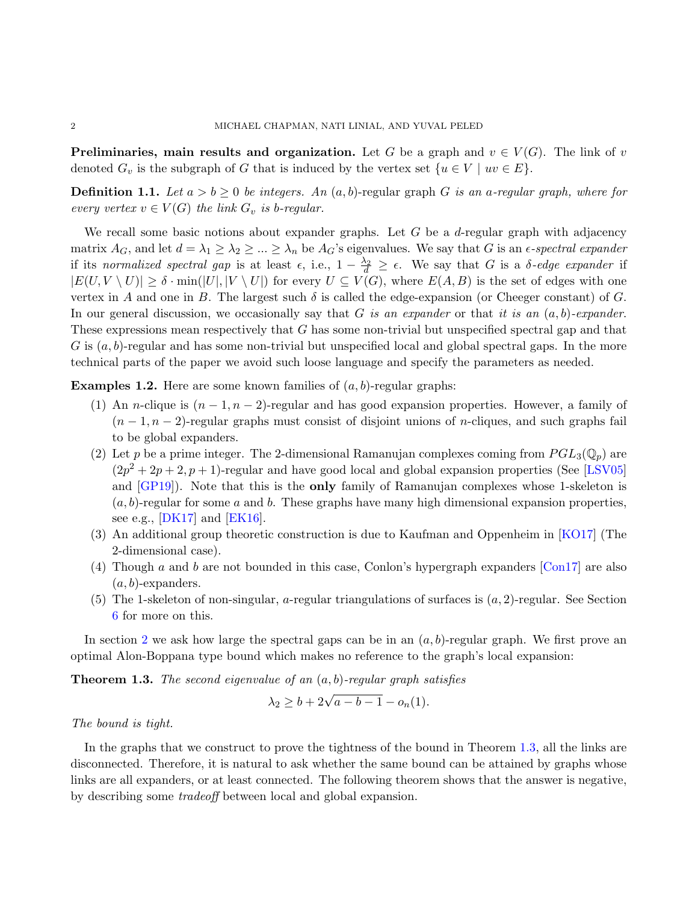**Preliminaries, main results and organization.** Let G be a graph and  $v \in V(G)$ . The link of v denoted  $G_v$  is the subgraph of G that is induced by the vertex set  $\{u \in V \mid uv \in E\}$ .

**Definition 1.1.** Let  $a > b \ge 0$  be integers. An  $(a, b)$ -regular graph G is an a-regular graph, where for every vertex  $v \in V(G)$  the link  $G_v$  is b-regular.

We recall some basic notions about expander graphs. Let  $G$  be a  $d$ -regular graph with adjacency matrix  $A_G$ , and let  $d = \lambda_1 \geq \lambda_2 \geq ... \geq \lambda_n$  be  $A_G$ 's eigenvalues. We say that G is an  $\epsilon$ -spectral expander if its normalized spectral gap is at least  $\epsilon$ , i.e.,  $1 - \frac{\lambda_2}{d} \geq \epsilon$ . We say that G is a  $\delta$ -edge expander if  $|E(U, V \setminus U)| \geq \delta \cdot \min(|U|, |V \setminus U|)$  for every  $U \subseteq V(G)$ , where  $E(A, B)$  is the set of edges with one vertex in A and one in B. The largest such  $\delta$  is called the edge-expansion (or Cheeger constant) of G. In our general discussion, we occasionally say that G is an expander or that it is an  $(a, b)$ -expander. These expressions mean respectively that G has some non-trivial but unspecified spectral gap and that G is  $(a, b)$ -regular and has some non-trivial but unspecified local and global spectral gaps. In the more technical parts of the paper we avoid such loose language and specify the parameters as needed.

**Examples 1.2.** Here are some known families of  $(a, b)$ -regular graphs:

- (1) An *n*-clique is  $(n-1, n-2)$ -regular and has good expansion properties. However, a family of  $(n-1, n-2)$ -regular graphs must consist of disjoint unions of *n*-cliques, and such graphs fail to be global expanders.
- (2) Let p be a prime integer. The 2-dimensional Ramanujan complexes coming from  $PGL_3(\mathbb{Q}_p)$  are  $(2p^2 + 2p + 2, p + 1)$ -regular and have good local and global expansion properties (See [\[LSV05\]](#page-28-2) and [\[GP19\]](#page-28-3)). Note that this is the only family of Ramanujan complexes whose 1-skeleton is  $(a, b)$ -regular for some a and b. These graphs have many high dimensional expansion properties, see e.g.,  $[DK17]$  and  $[EK16]$ .
- (3) An additional group theoretic construction is due to Kaufman and Oppenheim in [\[KO17\]](#page-28-5) (The 2-dimensional case).
- (4) Though a and b are not bounded in this case, Conlon's hypergraph expanders  $\lceil \text{Con17} \rceil$  are also  $(a, b)$ -expanders.
- (5) The 1-skeleton of non-singular, a-regular triangulations of surfaces is  $(a, 2)$ -regular. See Section [6](#page-26-0) for more on this.

In section [2](#page-2-0) we ask how large the spectral gaps can be in an  $(a, b)$ -regular graph. We first prove an optimal Alon-Boppana type bound which makes no reference to the graph's local expansion:

<span id="page-1-0"></span>**Theorem 1.3.** The second eigenvalue of an  $(a, b)$ -regular graph satisfies

$$
\lambda_2 \ge b + 2\sqrt{a - b - 1} - o_n(1).
$$

The bound is tight.

In the graphs that we construct to prove the tightness of the bound in Theorem [1.3,](#page-1-0) all the links are disconnected. Therefore, it is natural to ask whether the same bound can be attained by graphs whose links are all expanders, or at least connected. The following theorem shows that the answer is negative, by describing some tradeoff between local and global expansion.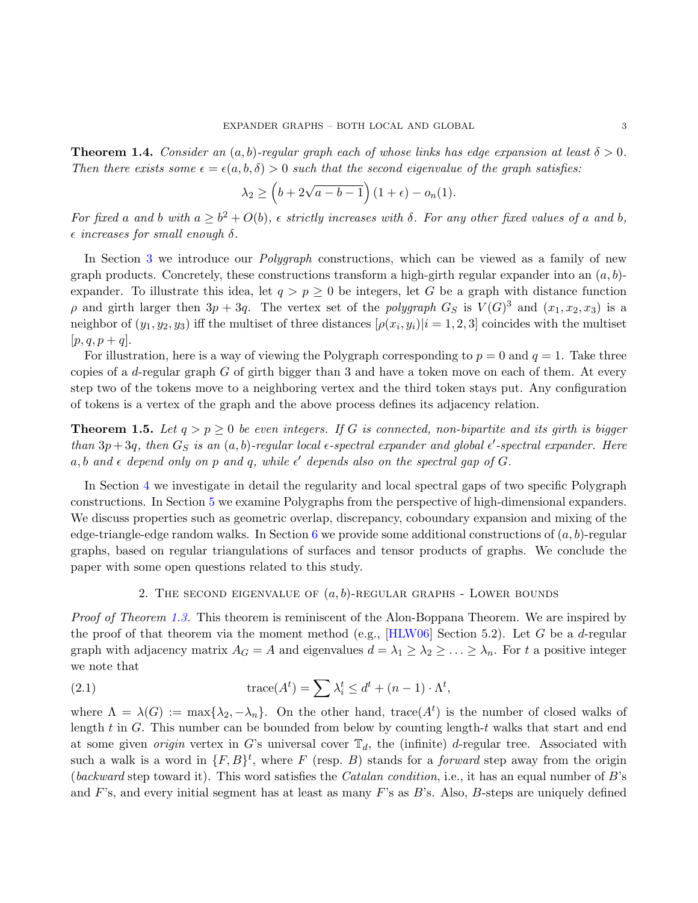<span id="page-2-2"></span>**Theorem 1.4.** Consider an  $(a, b)$ -regular graph each of whose links has edge expansion at least  $\delta > 0$ . Then there exists some  $\epsilon = \epsilon(a, b, \delta) > 0$  such that the second eigenvalue of the graph satisfies:

$$
\lambda_2 \ge \left(b + 2\sqrt{a - b - 1}\right)(1 + \epsilon) - o_n(1).
$$

For fixed a and b with  $a \geq b^2 + O(b)$ ,  $\epsilon$  strictly increases with  $\delta$ . For any other fixed values of a and b,  $\epsilon$  increases for small enough  $\delta$ .

In Section [3](#page-8-0) we introduce our *Polygraph* constructions, which can be viewed as a family of new graph products. Concretely, these constructions transform a high-girth regular expander into an  $(a, b)$ expander. To illustrate this idea, let  $q > p \geq 0$  be integers, let G be a graph with distance function  $\rho$  and girth larger then  $3p + 3q$ . The vertex set of the polygraph  $G_S$  is  $V(G)^3$  and  $(x_1, x_2, x_3)$  is a neighbor of  $(y_1, y_2, y_3)$  iff the multiset of three distances  $[\rho(x_i, y_i)|i = 1, 2, 3]$  coincides with the multiset  $[p, q, p + q].$ 

For illustration, here is a way of viewing the Polygraph corresponding to  $p = 0$  and  $q = 1$ . Take three copies of a d-regular graph  $G$  of girth bigger than 3 and have a token move on each of them. At every step two of the tokens move to a neighboring vertex and the third token stays put. Any configuration of tokens is a vertex of the graph and the above process defines its adjacency relation.

<span id="page-2-3"></span>**Theorem 1.5.** Let  $q > p \geq 0$  be even integers. If G is connected, non-bipartite and its girth is bigger than  $3p+3q$ , then  $G_S$  is an  $(a, b)$ -regular local  $\epsilon$ -spectral expander and global  $\epsilon'$ -spectral expander. Here  $a, b$  and  $\epsilon$  depend only on p and q, while  $\epsilon'$  depends also on the spectral gap of G.

In Section [4](#page-19-0) we investigate in detail the regularity and local spectral gaps of two specific Polygraph constructions. In Section [5](#page-20-0) we examine Polygraphs from the perspective of high-dimensional expanders. We discuss properties such as geometric overlap, discrepancy, coboundary expansion and mixing of the edge-triangle-edge random walks. In Section [6](#page-26-0) we provide some additional constructions of  $(a, b)$ -regular graphs, based on regular triangulations of surfaces and tensor products of graphs. We conclude the paper with some open questions related to this study.

### <span id="page-2-1"></span>2. THE SECOND EIGENVALUE OF  $(a, b)$ -REGULAR GRAPHS - LOWER BOUNDS

<span id="page-2-0"></span>*Proof of Theorem [1.3.](#page-1-0)* This theorem is reminiscent of the Alon-Boppana Theorem. We are inspired by the proof of that theorem via the moment method (e.g.,  $[\text{HLW06}]$  Section 5.2). Let G be a d-regular graph with adjacency matrix  $A_G = A$  and eigenvalues  $d = \lambda_1 \geq \lambda_2 \geq \ldots \geq \lambda_n$ . For t a positive integer we note that

(2.1) 
$$
\operatorname{trace}(A^t) = \sum \lambda_i^t \leq d^t + (n-1) \cdot \Lambda^t,
$$

where  $\Lambda = \lambda(G) := \max\{\lambda_2, -\lambda_n\}.$  On the other hand, trace  $(A^t)$  is the number of closed walks of length  $t$  in  $G$ . This number can be bounded from below by counting length- $t$  walks that start and end at some given *origin* vertex in G's universal cover  $\mathbb{T}_d$ , the (infinite) d-regular tree. Associated with such a walk is a word in  $\{F, B\}^t$ , where F (resp. B) stands for a *forward* step away from the origin (backward step toward it). This word satisfies the *Catalan condition*, i.e., it has an equal number of  $B$ 's and F's, and every initial segment has at least as many F's as B's. Also, B-steps are uniquely defined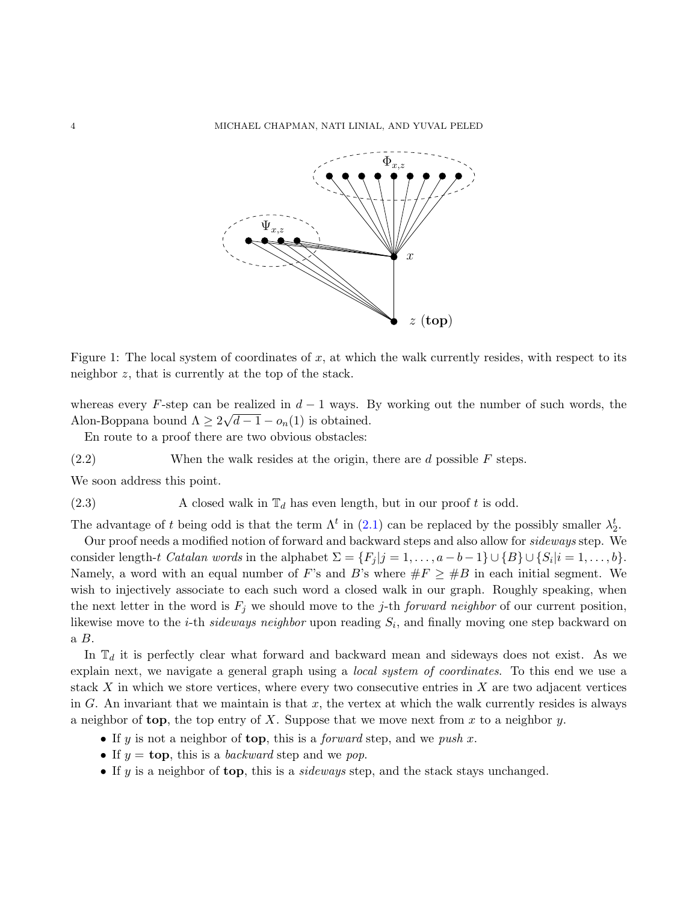<span id="page-3-0"></span>

Figure 1: The local system of coordinates of  $x$ , at which the walk currently resides, with respect to its neighbor z, that is currently at the top of the stack.

whereas every F-step can be realized in  $d-1$  ways. By working out the number of such words, the Alon-Boppana bound  $\Lambda \geq 2\sqrt{d-1} - o_n(1)$  is obtained.

<span id="page-3-1"></span>En route to a proof there are two obvious obstacles:

 $(2.2)$  When the walk resides at the origin, there are d possible F steps.

We soon address this point.

(2.3) A closed walk in  $\mathbb{T}_d$  has even length, but in our proof t is odd.

The advantage of t being odd is that the term  $\Lambda^t$  in [\(2.1\)](#page-2-1) can be replaced by the possibly smaller  $\lambda_2^t$ .

Our proof needs a modified notion of forward and backward steps and also allow for *sideways* step. We consider length-t Catalan words in the alphabet  $\Sigma = \{F_j | j = 1, \ldots, a-b-1\} \cup \{B\} \cup \{S_i | i = 1, \ldots, b\}.$ Namely, a word with an equal number of F's and B's where  $\#F \geq \#B$  in each initial segment. We wish to injectively associate to each such word a closed walk in our graph. Roughly speaking, when the next letter in the word is  $F_j$  we should move to the j-th forward neighbor of our current position, likewise move to the *i*-th *sideways neighbor* upon reading  $S_i$ , and finally moving one step backward on  $a \, B.$ 

In  $\mathbb{T}_d$  it is perfectly clear what forward and backward mean and sideways does not exist. As we explain next, we navigate a general graph using a *local system of coordinates*. To this end we use a stack  $X$  in which we store vertices, where every two consecutive entries in  $X$  are two adjacent vertices in G. An invariant that we maintain is that x, the vertex at which the walk currently resides is always a neighbor of top, the top entry of  $X$ . Suppose that we move next from  $x$  to a neighbor  $y$ .

- If y is not a neighbor of top, this is a *forward* step, and we push x.
- If  $y = \text{top}$ , this is a *backward* step and we pop.
- If  $y$  is a neighbor of top, this is a *sideways* step, and the stack stays unchanged.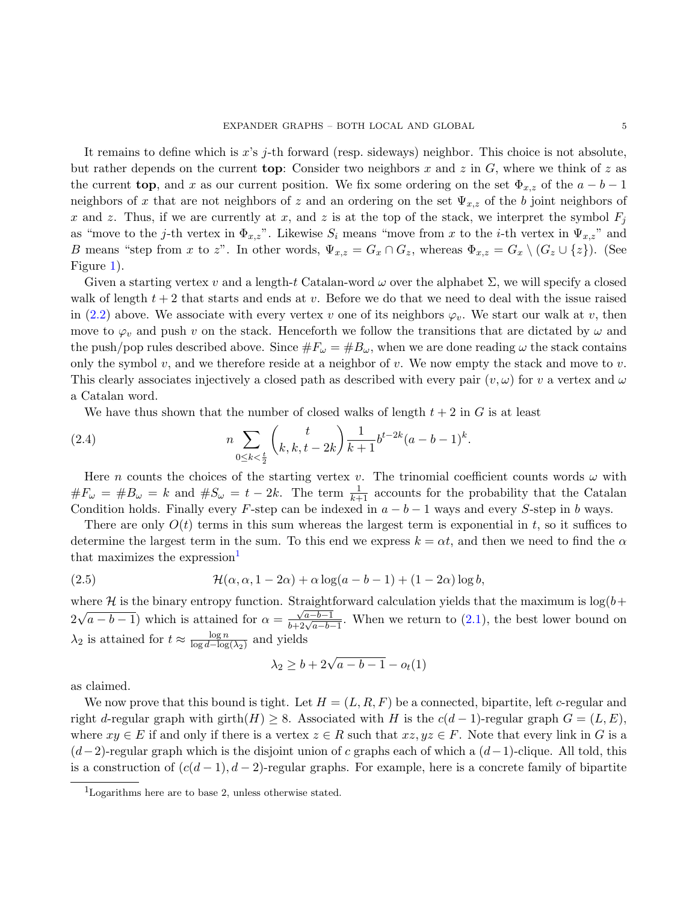It remains to define which is x's j-th forward (resp. sideways) neighbor. This choice is not absolute, but rather depends on the current **top**: Consider two neighbors x and z in  $G$ , where we think of z as the current top, and x as our current position. We fix some ordering on the set  $\Phi_{x,z}$  of the  $a - b - 1$ neighbors of x that are not neighbors of z and an ordering on the set  $\Psi_{x,z}$  of the b joint neighbors of x and z. Thus, if we are currently at x, and z is at the top of the stack, we interpret the symbol  $F_j$ as "move to the j-th vertex in  $\Phi_{x,z}$ ". Likewise  $S_i$  means "move from x to the i-th vertex in  $\Psi_{x,z}$ " and B means "step from x to z". In other words,  $\Psi_{x,z} = G_x \cap G_z$ , whereas  $\Phi_{x,z} = G_x \setminus (G_z \cup \{z\})$ . (See Figure [1\)](#page-3-0).

Given a starting vertex v and a length-t Catalan-word  $\omega$  over the alphabet  $\Sigma$ , we will specify a closed walk of length  $t + 2$  that starts and ends at v. Before we do that we need to deal with the issue raised in [\(2.2\)](#page-3-1) above. We associate with every vertex v one of its neighbors  $\varphi_v$ . We start our walk at v, then move to  $\varphi_v$  and push v on the stack. Henceforth we follow the transitions that are dictated by  $\omega$  and the push/pop rules described above. Since  $\#F_\omega = \#B_\omega$ , when we are done reading  $\omega$  the stack contains only the symbol v, and we therefore reside at a neighbor of v. We now empty the stack and move to v. This clearly associates injectively a closed path as described with every pair  $(v, \omega)$  for v a vertex and  $\omega$ a Catalan word.

We have thus shown that the number of closed walks of length  $t + 2$  in G is at least

(2.4) 
$$
n \sum_{0 \le k < \frac{t}{2}} \binom{t}{k, k, t - 2k} \frac{1}{k+1} b^{t-2k} (a - b - 1)^k.
$$

Here n counts the choices of the starting vertex v. The trinomial coefficient counts words  $\omega$  with  $\#F_{\omega} = \#B_{\omega} = k$  and  $\#S_{\omega} = t - 2k$ . The term  $\frac{1}{k+1}$  accounts for the probability that the Catalan Condition holds. Finally every F-step can be indexed in  $a - b - 1$  ways and every S-step in b ways.

There are only  $O(t)$  terms in this sum whereas the largest term is exponential in t, so it suffices to determine the largest term in the sum. To this end we express  $k = \alpha t$ , and then we need to find the  $\alpha$ that maximizes the expression $\text{L}$ 

(2.5) 
$$
\mathcal{H}(\alpha, \alpha, 1-2\alpha) + \alpha \log(a-b-1) + (1-2\alpha) \log b,
$$

where H is the binary entropy function. Straightforward calculation yields that the maximum is  $log(b+$ 2 √  $(a - b - 1)$  which is attained for  $\alpha =$  $\frac{\sqrt{a-b-1}}{b+2\sqrt{a-b-1}}$ . When we return to [\(2.1\)](#page-2-1), the best lower bound on  $\lambda_2$  is attained for  $t \approx \frac{\log n}{\log d - \log n}$  $\frac{\log n}{\log d - \log(\lambda_2)}$  and yields

<span id="page-4-1"></span>
$$
\lambda_2 \ge b + 2\sqrt{a - b - 1} - o_t(1)
$$

as claimed.

We now prove that this bound is tight. Let  $H = (L, R, F)$  be a connected, bipartite, left c-regular and right d-regular graph with girth $(H) \geq 8$ . Associated with H is the  $c(d-1)$ -regular graph  $G = (L, E)$ , where  $xy \in E$  if and only if there is a vertex  $z \in R$  such that  $xz, yz \in F$ . Note that every link in G is a  $(d-2)$ -regular graph which is the disjoint union of c graphs each of which a  $(d-1)$ -clique. All told, this is a construction of  $(c(d-1), d-2)$ -regular graphs. For example, here is a concrete family of bipartite

<span id="page-4-0"></span><sup>&</sup>lt;sup>1</sup>Logarithms here are to base 2, unless otherwise stated.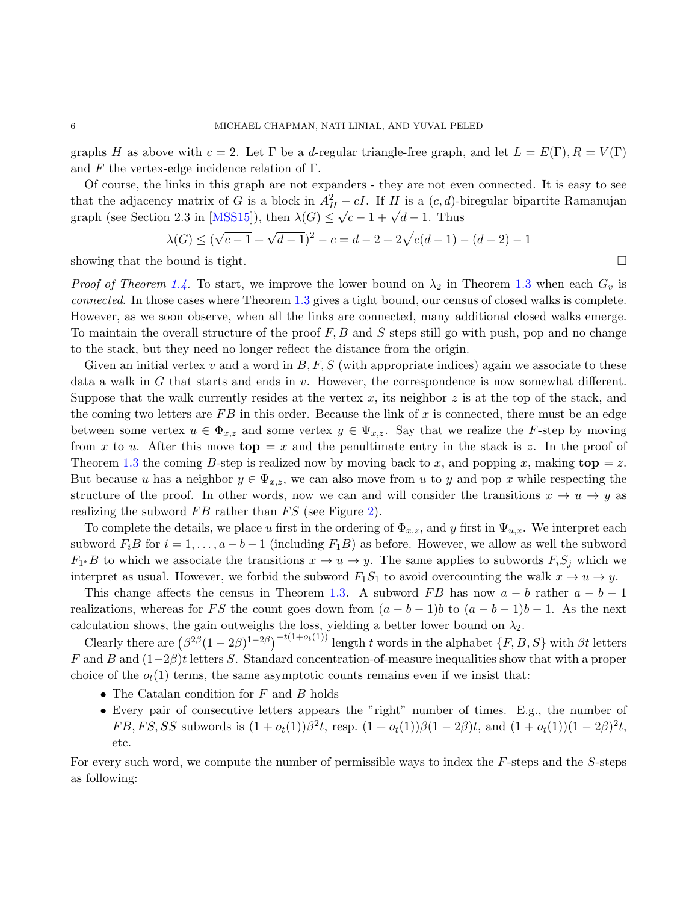graphs H as above with  $c = 2$ . Let  $\Gamma$  be a d-regular triangle-free graph, and let  $L = E(\Gamma), R = V(\Gamma)$ and F the vertex-edge incidence relation of  $\Gamma$ .

Of course, the links in this graph are not expanders - they are not even connected. It is easy to see that the adjacency matrix of G is a block in  $A_H^2 - cI$ . If H is a  $(c, d)$ -biregular bipartite Ramanujan graph (see Section 2.3 in [\[MSS15\]](#page-28-8)), then  $\lambda(G) \leq \sqrt{c-1} + \sqrt{d-1}$ . Thus

$$
\lambda(G) \le (\sqrt{c-1} + \sqrt{d-1})^2 - c = d - 2 + 2\sqrt{c(d-1) - (d-2) - 1}
$$

showing that the bound is tight.  $\square$ 

*Proof of Theorem [1.4.](#page-2-2)* To start, we improve the lower bound on  $\lambda_2$  in Theorem [1.3](#page-1-0) when each  $G_v$  is connected. In those cases where Theorem [1.3](#page-1-0) gives a tight bound, our census of closed walks is complete. However, as we soon observe, when all the links are connected, many additional closed walks emerge. To maintain the overall structure of the proof  $F, B$  and  $S$  steps still go with push, pop and no change to the stack, but they need no longer reflect the distance from the origin.

Given an initial vertex v and a word in  $B, F, S$  (with appropriate indices) again we associate to these data a walk in G that starts and ends in  $v$ . However, the correspondence is now somewhat different. Suppose that the walk currently resides at the vertex x, its neighbor z is at the top of the stack, and the coming two letters are  $FB$  in this order. Because the link of x is connected, there must be an edge between some vertex  $u \in \Phi_{x,z}$  and some vertex  $y \in \Psi_{x,z}$ . Say that we realize the F-step by moving from x to u. After this move  $top = x$  and the penultimate entry in the stack is z. In the proof of Theorem [1.3](#page-1-0) the coming B-step is realized now by moving back to x, and popping x, making  $top = z$ . But because u has a neighbor  $y \in \Psi_{x,z}$ , we can also move from u to y and pop x while respecting the structure of the proof. In other words, now we can and will consider the transitions  $x \to u \to y$  as realizing the subword  $FB$  rather than  $FS$  (see Figure [2\)](#page-6-0).

To complete the details, we place u first in the ordering of  $\Phi_{x,z}$ , and y first in  $\Psi_{u,x}$ . We interpret each subword  $F_iB$  for  $i = 1, \ldots, a - b - 1$  (including  $F_1B$ ) as before. However, we allow as well the subword  $F_1 * B$  to which we associate the transitions  $x \to u \to y$ . The same applies to subwords  $F_i S_j$  which we interpret as usual. However, we forbid the subword  $F_1S_1$  to avoid overcounting the walk  $x \to u \to y$ .

This change affects the census in Theorem [1.3.](#page-1-0) A subword FB has now  $a - b$  rather  $a - b - 1$ realizations, whereas for FS the count goes down from  $(a - b - 1)b$  to  $(a - b - 1)b - 1$ . As the next calculation shows, the gain outweighs the loss, yielding a better lower bound on  $\lambda_2$ .

Clearly there are  $(\beta^{2\beta}(1-2\beta)^{1-2\beta})^{-t(1+o_t(1))}$  length t words in the alphabet  $\{F, B, S\}$  with  $\beta t$  letters F and B and  $(1-2\beta)t$  letters S. Standard concentration-of-measure inequalities show that with a proper choice of the  $o_t(1)$  terms, the same asymptotic counts remains even if we insist that:

- The Catalan condition for  $F$  and  $B$  holds
- Every pair of consecutive letters appears the "right" number of times. E.g., the number of  $FB, FS, SS$  subwords is  $(1 + o_t(1))\beta^2 t$ , resp.  $(1 + o_t(1))\beta(1 - 2\beta)t$ , and  $(1 + o_t(1))(1 - 2\beta)^2 t$ , etc.

For every such word, we compute the number of permissible ways to index the F-steps and the S-steps as following: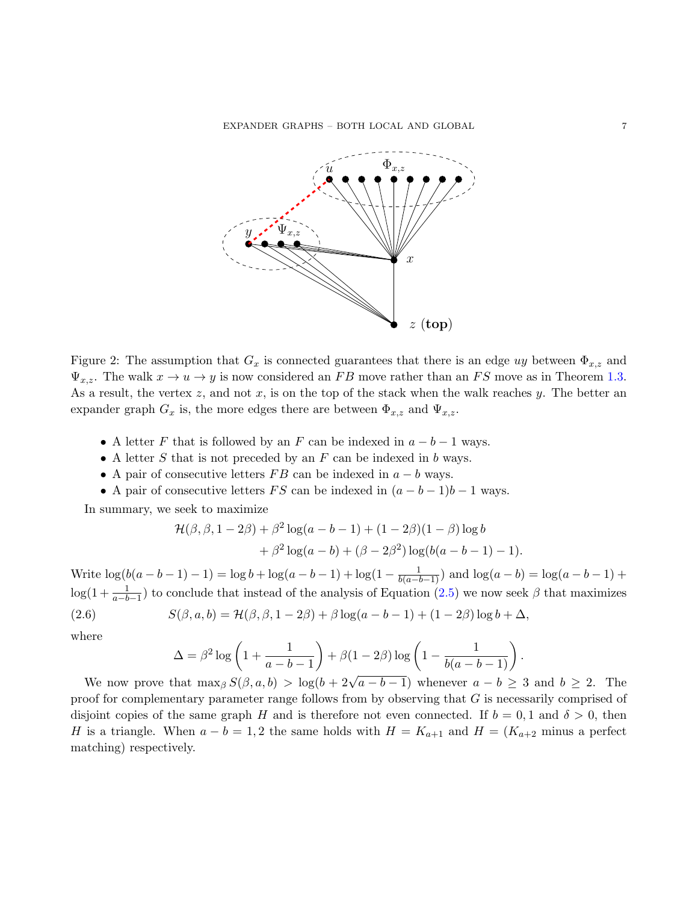EXPANDER GRAPHS – BOTH LOCAL AND GLOBAL 7

<span id="page-6-0"></span>

Figure 2: The assumption that  $G_x$  is connected guarantees that there is an edge uy between  $\Phi_{x,z}$  and  $\Psi_{x,z}$ . The walk  $x \to u \to y$  is now considered an FB move rather than an FS move as in Theorem [1.3.](#page-1-0) As a result, the vertex  $z$ , and not  $x$ , is on the top of the stack when the walk reaches  $y$ . The better an expander graph  $G_x$  is, the more edges there are between  $\Phi_{x,z}$  and  $\Psi_{x,z}$ .

- A letter F that is followed by an F can be indexed in  $a b 1$  ways.
- A letter  $S$  that is not preceded by an  $F$  can be indexed in  $b$  ways.
- A pair of consecutive letters  $FB$  can be indexed in  $a b$  ways.
- A pair of consecutive letters FS can be indexed in  $(a b 1)b 1$  ways.

In summary, we seek to maximize

$$
\mathcal{H}(\beta, \beta, 1-2\beta) + \beta^2 \log(a-b-1) + (1-2\beta)(1-\beta) \log b + \beta^2 \log(a-b) + (\beta - 2\beta^2) \log(b(a-b-1) - 1).
$$

Write  $\log(b(a-b-1)-1) = \log b + \log(a-b-1) + \log(1-\frac{1}{b(a-b-1)})$  and  $\log(a-b) = \log(a-b-1) +$  $log(1+\frac{1}{a-b-1})$  to conclude that instead of the analysis of Equation [\(2.5\)](#page-4-1) we now seek  $\beta$  that maximizes

(2.6) 
$$
S(\beta, a, b) = \mathcal{H}(\beta, \beta, 1 - 2\beta) + \beta \log(a - b - 1) + (1 - 2\beta) \log b + \Delta,
$$

where

<span id="page-6-1"></span>
$$
\Delta = \beta^2 \log \left( 1 + \frac{1}{a - b - 1} \right) + \beta \left( 1 - 2\beta \right) \log \left( 1 - \frac{1}{b(a - b - 1)} \right)
$$

.

We now prove that  $\max_{\beta} S(\beta, a, b) > \log(b + 2\sqrt{a - b - 1})$  whenever  $a - b \geq 3$  and  $b \geq 2$ . The proof for complementary parameter range follows from by observing that G is necessarily comprised of disjoint copies of the same graph H and is therefore not even connected. If  $b = 0, 1$  and  $\delta > 0$ , then H is a triangle. When  $a - b = 1, 2$  the same holds with  $H = K_{a+1}$  and  $H = (K_{a+2}$  minus a perfect matching) respectively.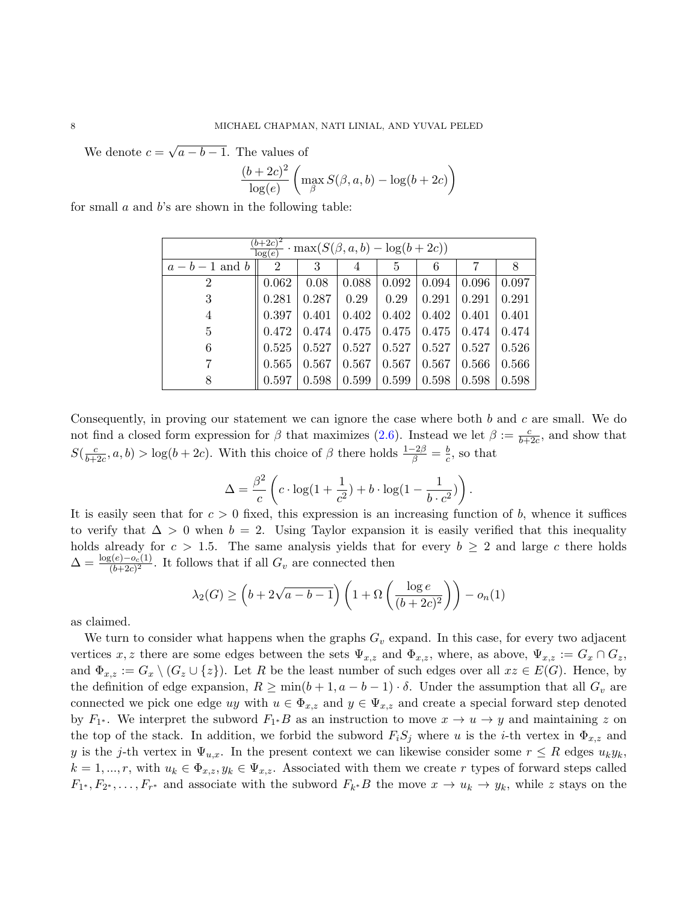We denote  $c =$ √  $a - b - 1$ . The values of

$$
\frac{(b+2c)^2}{\log(e)} \left( \max_{\beta} S(\beta, a, b) - \log(b + 2c) \right)
$$

for small  $a$  and  $b$ 's are shown in the following table:

| $(b+2c)^2$<br>$\cdot$ max $(S(\beta, a, b) - \log(b + 2c))$<br>log(e) |                |       |       |                |       |       |       |
|-----------------------------------------------------------------------|----------------|-------|-------|----------------|-------|-------|-------|
| $a-b-1$ and b                                                         | $\overline{2}$ | 3     |       | $\overline{5}$ | 6     |       |       |
| $\overline{2}$                                                        | 0.062          | 0.08  | 0.088 | 0.092          | 0.094 | 0.096 | 0.097 |
| 3                                                                     | 0.281          | 0.287 | 0.29  | 0.29           | 0.291 | 0.291 | 0.291 |
| 4                                                                     | 0.397          | 0.401 | 0.402 | 0.402          | 0.402 | 0.401 | 0.401 |
| 5                                                                     | 0.472          | 0.474 | 0.475 | 0.475          | 0.475 | 0.474 | 0.474 |
| 6                                                                     | 0.525          | 0.527 | 0.527 | 0.527          | 0.527 | 0.527 | 0.526 |
|                                                                       | 0.565          | 0.567 | 0.567 | 0.567          | 0.567 | 0.566 | 0.566 |
| 8                                                                     | 0.597          | 0.598 | 0.599 | 0.599          | 0.598 | 0.598 | 0.598 |

Consequently, in proving our statement we can ignore the case where both b and c are small. We do not find a closed form expression for  $\beta$  that maximizes [\(2.6\)](#page-6-1). Instead we let  $\beta := \frac{c}{b+2c}$ , and show that  $S(\frac{c}{b\pm 1})$  $\frac{c}{b+2c}$ ,  $a, b$  > log( $b + 2c$ ). With this choice of  $\beta$  there holds  $\frac{1-2\beta}{\beta} = \frac{b}{c}$  $\frac{b}{c}$ , so that

$$
\Delta = \frac{\beta^2}{c} \left( c \cdot \log(1 + \frac{1}{c^2}) + b \cdot \log(1 - \frac{1}{b \cdot c^2}) \right).
$$

It is easily seen that for  $c > 0$  fixed, this expression is an increasing function of b, whence it suffices to verify that  $\Delta > 0$  when  $b = 2$ . Using Taylor expansion it is easily verified that this inequality holds already for  $c > 1.5$ . The same analysis yields that for every  $b \geq 2$  and large c there holds  $\Delta = \frac{\log(e) - o_c(1)}{(b + 2c)^2}$ . It follows that if all  $G_v$  are connected then

$$
\lambda_2(G) \ge \left(b + 2\sqrt{a - b - 1}\right)\left(1 + \Omega\left(\frac{\log e}{(b + 2c)^2}\right)\right) - o_n(1)
$$

as claimed.

We turn to consider what happens when the graphs  $G_v$  expand. In this case, for every two adjacent vertices x, z there are some edges between the sets  $\Psi_{x,z}$  and  $\Phi_{x,z}$ , where, as above,  $\Psi_{x,z} := G_x \cap G_z$ , and  $\Phi_{x,z} := G_x \setminus (G_z \cup \{z\})$ . Let R be the least number of such edges over all  $xz \in E(G)$ . Hence, by the definition of edge expansion,  $R \ge \min(b+1, a-b-1) \cdot \delta$ . Under the assumption that all  $G_v$  are connected we pick one edge uy with  $u \in \Phi_{x,z}$  and  $y \in \Psi_{x,z}$  and create a special forward step denoted by  $F_{1^*}$ . We interpret the subword  $F_{1^*}B$  as an instruction to move  $x \to u \to y$  and maintaining z on the top of the stack. In addition, we forbid the subword  $F_iS_j$  where u is the *i*-th vertex in  $\Phi_{x,z}$  and y is the j-th vertex in  $\Psi_{u,x}$ . In the present context we can likewise consider some  $r \leq R$  edges  $u_k y_k$ ,  $k = 1, ..., r$ , with  $u_k \in \Phi_{x,z}, y_k \in \Psi_{x,z}$ . Associated with them we create r types of forward steps called  $F_{1^*}, F_{2^*}, \ldots, F_{r^*}$  and associate with the subword  $F_{k^*}B$  the move  $x \to u_k \to y_k$ , while z stays on the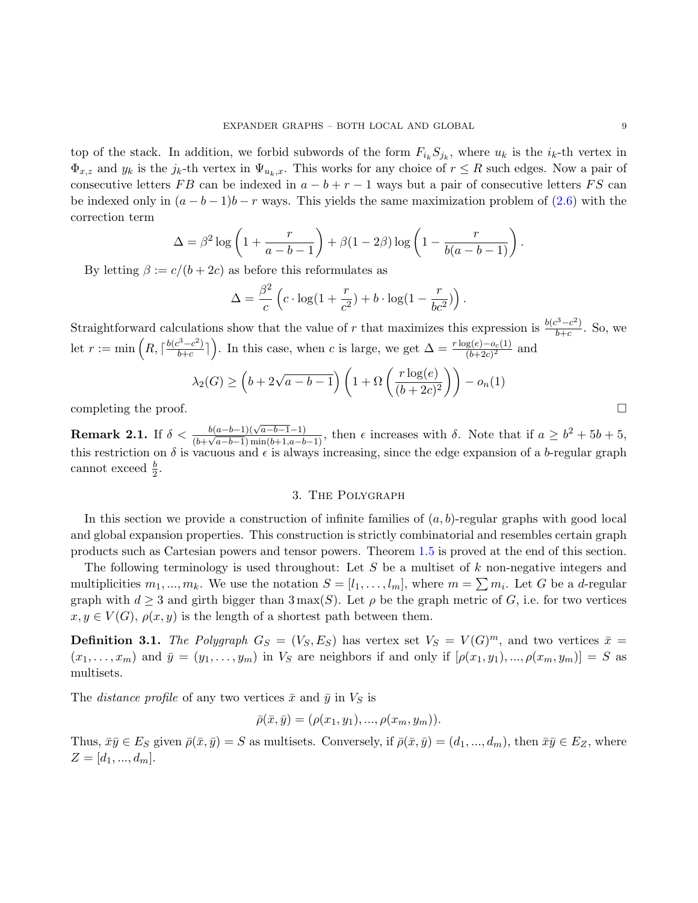top of the stack. In addition, we forbid subwords of the form  $F_{i_k} S_{j_k}$ , where  $u_k$  is the  $i_k$ -th vertex in  $\Phi_{x,z}$  and  $y_k$  is the  $j_k$ -th vertex in  $\Psi_{u_k,x}$ . This works for any choice of  $r \leq R$  such edges. Now a pair of consecutive letters FB can be indexed in  $a - b + r - 1$  ways but a pair of consecutive letters FS can be indexed only in  $(a - b - 1)b - r$  ways. This yields the same maximization problem of [\(2.6\)](#page-6-1) with the correction term

$$
\Delta = \beta^2 \log \left( 1 + \frac{r}{a - b - 1} \right) + \beta (1 - 2\beta) \log \left( 1 - \frac{r}{b(a - b - 1)} \right).
$$

By letting  $\beta := c/(b + 2c)$  as before this reformulates as

$$
\Delta = \frac{\beta^2}{c} \left( c \cdot \log(1 + \frac{r}{c^2}) + b \cdot \log(1 - \frac{r}{bc^2}) \right).
$$

Straightforward calculations show that the value of r that maximizes this expression is  $\frac{b(c^3-c^2)}{b+c}$  $\frac{c^2-c^2}{b+c}$ . So, we let  $r := \min\left(R, \lceil \frac{b(c^3 - c^2)}{b+c} \rceil\right)$  $\frac{b^3-c^2}{b+c}$ . In this case, when c is large, we get  $\Delta = \frac{r \log(e)-o_c(1)}{(b+2c)^2}$  and

$$
\lambda_2(G) \ge \left(b + 2\sqrt{a - b - 1}\right) \left(1 + \Omega\left(\frac{r \log(e)}{(b + 2c)^2}\right)\right) - o_n(1)
$$
  
completing the proof.

**Remark 2.1.** If  $\delta < \frac{b(a-b-1)(\sqrt{a-b-1}-1)}{(b+a-b-1)\min(b+1-a-b)}$  $\frac{b(a-b-1)(\sqrt{a-b-1}-1)}{(b+\sqrt{a-b-1})\min(b+1,a-b-1)}$ , then  $\epsilon$  increases with  $\delta$ . Note that if  $a \geq b^2 + 5b + 5$ , this restriction on  $\delta$  is vacuous and  $\epsilon$  is always increasing, since the edge expansion of a b-regular graph cannot exceed  $\frac{b}{2}$ .

## 3. The Polygraph

<span id="page-8-0"></span>In this section we provide a construction of infinite families of  $(a, b)$ -regular graphs with good local and global expansion properties. This construction is strictly combinatorial and resembles certain graph products such as Cartesian powers and tensor powers. Theorem [1.5](#page-2-3) is proved at the end of this section.

The following terminology is used throughout: Let S be a multiset of k non-negative integers and multiplicities  $m_1, ..., m_k$ . We use the notation  $S = [l_1, ..., l_m]$ , where  $m = \sum m_i$ . Let G be a d-regular graph with  $d \geq 3$  and girth bigger than  $3 \max(S)$ . Let  $\rho$  be the graph metric of G, i.e. for two vertices  $x, y \in V(G)$ ,  $\rho(x, y)$  is the length of a shortest path between them.

**Definition 3.1.** The Polygraph  $G_S = (V_S, E_S)$  has vertex set  $V_S = V(G)^m$ , and two vertices  $\bar{x} =$  $(x_1, \ldots, x_m)$  and  $\bar{y} = (y_1, \ldots, y_m)$  in  $V_S$  are neighbors if and only if  $[\rho(x_1, y_1), \ldots, \rho(x_m, y_m)] = S$  as multisets.

The *distance profile* of any two vertices  $\bar{x}$  and  $\bar{y}$  in  $V_S$  is

$$
\bar{\rho}(\bar{x}, \bar{y}) = (\rho(x_1, y_1), ..., \rho(x_m, y_m)).
$$

Thus,  $\bar{x}\bar{y}\in E_S$  given  $\bar{\rho}(\bar{x},\bar{y})=S$  as multisets. Conversely, if  $\bar{\rho}(\bar{x},\bar{y})=(d_1,...,d_m)$ , then  $\bar{x}\bar{y}\in E_Z$ , where  $Z = [d_1, ..., d_m].$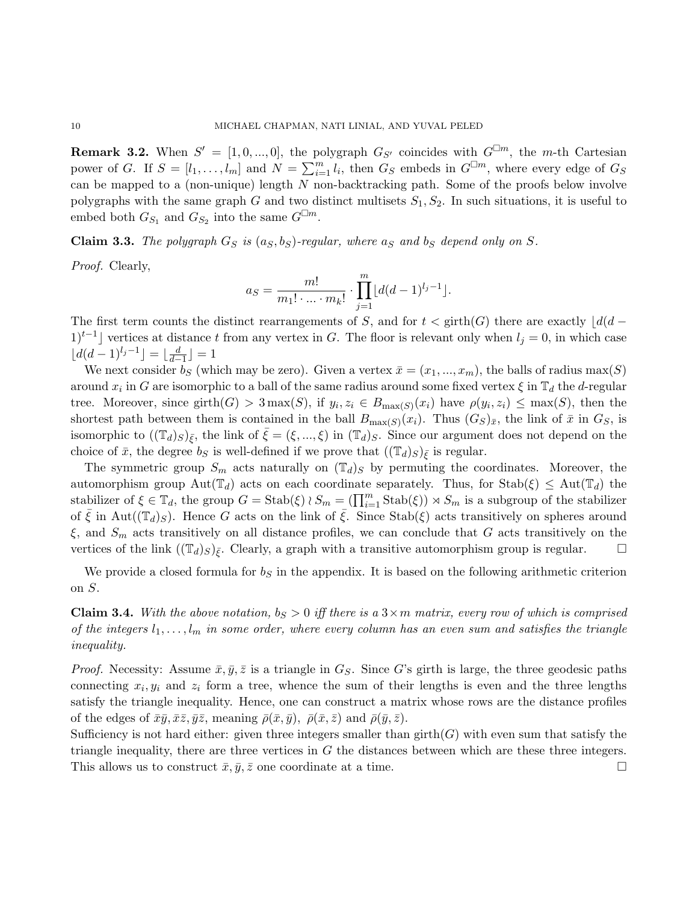<span id="page-9-1"></span>**Remark 3.2.** When  $S' = [1, 0, ..., 0]$ , the polygraph  $G_{S'}$  coincides with  $G^{\Box m}$ , the m-th Cartesian power of G. If  $S = [l_1, \ldots, l_m]$  and  $N = \sum_{i=1}^m l_i$ , then  $G_S$  embeds in  $G^{\Box m}$ , where every edge of  $G_S$ can be mapped to a (non-unique) length  $N$  non-backtracking path. Some of the proofs below involve polygraphs with the same graph G and two distinct multisets  $S_1, S_2$ . In such situations, it is useful to embed both  $G_{S_1}$  and  $G_{S_2}$  into the same  $G^{\square m}$ .

Claim 3.3. The polygraph  $G_S$  is  $(a_S, b_S)$ -regular, where  $a_S$  and  $b_S$  depend only on S.

Proof. Clearly,

$$
a_S = \frac{m!}{m_1! \cdot \ldots \cdot m_k!} \cdot \prod_{j=1}^m \lfloor d(d-1)^{l_j-1} \rfloor.
$$

The first term counts the distinct rearrangements of S, and for  $t < \text{girth}(G)$  there are exactly  $|d(d 1$ <sup>t−1</sup> vertices at distance t from any vertex in G. The floor is relevant only when  $l_j = 0$ , in which case  $\lfloor d(d-1)^{l_j-1}\rfloor = \lfloor \frac{d}{d-1}\rfloor = 1$ 

We next consider bs (which may be zero). Given a vertex  $\bar{x} = (x_1, ..., x_m)$ , the balls of radius max(S) around  $x_i$  in G are isomorphic to a ball of the same radius around some fixed vertex  $\xi$  in  $\mathbb{T}_d$  the d-regular tree. Moreover, since girth $(G) > 3 \max(S)$ , if  $y_i, z_i \in B_{\max(S)}(x_i)$  have  $\rho(y_i, z_i) \leq \max(S)$ , then the shortest path between them is contained in the ball  $B_{\max(S)}(x_i)$ . Thus  $(G_S)_{\bar{x}}$ , the link of  $\bar{x}$  in  $G_S$ , is isomorphic to  $((\mathbb{T}_d)_S)_{\bar{\xi}}$ , the link of  $\xi = (\xi, ..., \xi)$  in  $(\mathbb{T}_d)_S$ . Since our argument does not depend on the choice of  $\bar{x}$ , the degree  $b_S$  is well-defined if we prove that  $((\mathbb{T}_d)_S)_{\bar{\varepsilon}}$  is regular.

The symmetric group  $S_m$  acts naturally on  $(\mathbb{T}_d)_S$  by permuting the coordinates. Moreover, the automorphism group Aut( $\mathbb{T}_d$ ) acts on each coordinate separately. Thus, for  $\text{Stab}(\xi) \le \text{Aut}(\mathbb{T}_d)$  the stabilizer of  $\xi \in \mathbb{T}_d$ , the group  $G = \text{Stab}(\xi) \wr S_m = (\prod_{i=1}^m \text{Stab}(\xi)) \rtimes S_m$  is a subgroup of the stabilizer of  $\bar{\xi}$  in Aut( $(\mathbb{T}_d)_S$ ). Hence G acts on the link of  $\bar{\xi}$ . Since Stab( $\xi$ ) acts transitively on spheres around  $\xi$ , and  $S_m$  acts transitively on all distance profiles, we can conclude that G acts transitively on the vertices of the link  $((\mathbb{T}_d)_S)_{\bar{\varepsilon}}$ . Clearly, a graph with a transitive automorphism group is regular.  $\square$ 

We provide a closed formula for  $b<sub>S</sub>$  in the appendix. It is based on the following arithmetic criterion on S.

<span id="page-9-0"></span>**Claim 3.4.** With the above notation,  $b_S > 0$  iff there is a  $3 \times m$  matrix, every row of which is comprised of the integers  $l_1, \ldots, l_m$  in some order, where every column has an even sum and satisfies the triangle inequality.

*Proof.* Necessity: Assume  $\bar{x}, \bar{y}, \bar{z}$  is a triangle in  $G<sub>S</sub>$ . Since G's girth is large, the three geodesic paths connecting  $x_i, y_i$  and  $z_i$  form a tree, whence the sum of their lengths is even and the three lengths satisfy the triangle inequality. Hence, one can construct a matrix whose rows are the distance profiles of the edges of  $\bar{x}\bar{y}, \bar{x}\bar{z}, \bar{y}\bar{z}$ , meaning  $\bar{\rho}(\bar{x}, \bar{y}), \bar{\rho}(\bar{x}, \bar{z})$  and  $\bar{\rho}(\bar{y}, \bar{z})$ .

Sufficiency is not hard either: given three integers smaller than  $girth(G)$  with even sum that satisfy the triangle inequality, there are three vertices in  $G$  the distances between which are these three integers. This allows us to construct  $\bar{x}, \bar{y}, \bar{z}$  one coordinate at a time.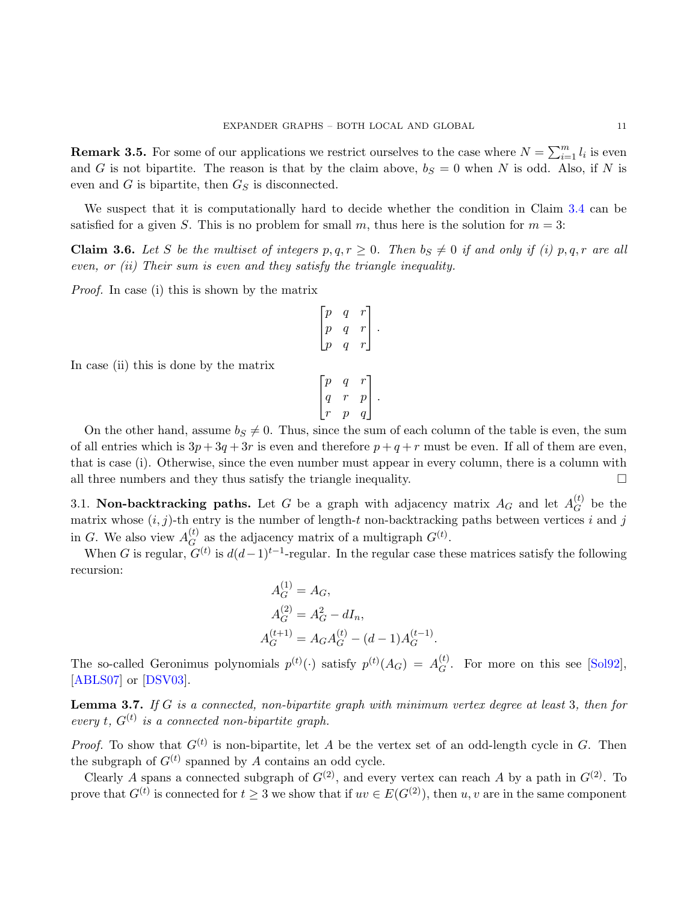**Remark 3.5.** For some of our applications we restrict ourselves to the case where  $N = \sum_{i=1}^{m} l_i$  is even and G is not bipartite. The reason is that by the claim above,  $b<sub>S</sub> = 0$  when N is odd. Also, if N is even and  $G$  is bipartite, then  $G_S$  is disconnected.

We suspect that it is computationally hard to decide whether the condition in Claim [3.4](#page-9-0) can be satisfied for a given S. This is no problem for small m, thus here is the solution for  $m = 3$ :

<span id="page-10-1"></span>**Claim 3.6.** Let S be the multiset of integers  $p, q, r \geq 0$ . Then  $b_S \neq 0$  if and only if (i)  $p, q, r$  are all even, or (ii) Their sum is even and they satisfy the triangle inequality.

Proof. In case (i) this is shown by the matrix

$$
\begin{bmatrix} p & q & r \\ p & q & r \\ p & q & r \end{bmatrix}.
$$

In case (ii) this is done by the matrix

$$
\begin{bmatrix} p & q & r \\ q & r & p \\ r & p & q \end{bmatrix}.
$$

On the other hand, assume  $b_S \neq 0$ . Thus, since the sum of each column of the table is even, the sum of all entries which is  $3p+3q+3r$  is even and therefore  $p+q+r$  must be even. If all of them are even, that is case (i). Otherwise, since the even number must appear in every column, there is a column with all three numbers and they thus satisfy the triangle inequality.  $\Box$ 

3.1. Non-backtracking paths. Let G be a graph with adjacency matrix  $A_G$  and let  $A_G^{(t)}$  $\mathcal{G}^{(t)}$  be the matrix whose  $(i, j)$ -th entry is the number of length-t non-backtracking paths between vertices i and j in G. We also view  $A_G^{(t)}$  $G(G)$  as the adjacency matrix of a multigraph  $G^{(t)}$ .

When G is regular,  $G^{(t)}$  is  $d(d-1)^{t-1}$ -regular. In the regular case these matrices satisfy the following recursion:

 $(1)$ 

$$
A_G^{(1)} = A_G,
$$
  
\n
$$
A_G^{(2)} = A_G^2 - dI_n,
$$
  
\n
$$
A_G^{(t+1)} = A_G A_G^{(t)} - (d-1)A_G^{(t-1)}.
$$

The so-called Geronimus polynomials  $p^{(t)}(\cdot)$  satisfy  $p^{(t)}(A_G) = A_G^{(t)}$  $G^{(t)}$ . For more on this see [\[Sol92\]](#page-28-9), [\[ABLS07\]](#page-27-0) or [\[DSV03\]](#page-28-10).

<span id="page-10-0"></span>Lemma 3.7. If G is a connected, non-bipartite graph with minimum vertex degree at least 3, then for every t,  $G^{(t)}$  is a connected non-bipartite graph.

*Proof.* To show that  $G^{(t)}$  is non-bipartite, let A be the vertex set of an odd-length cycle in G. Then the subgraph of  $G^{(t)}$  spanned by A contains an odd cycle.

Clearly A spans a connected subgraph of  $G^{(2)}$ , and every vertex can reach A by a path in  $G^{(2)}$ . To prove that  $G^{(t)}$  is connected for  $t \geq 3$  we show that if  $uv \in E(G^{(2)})$ , then  $u, v$  are in the same component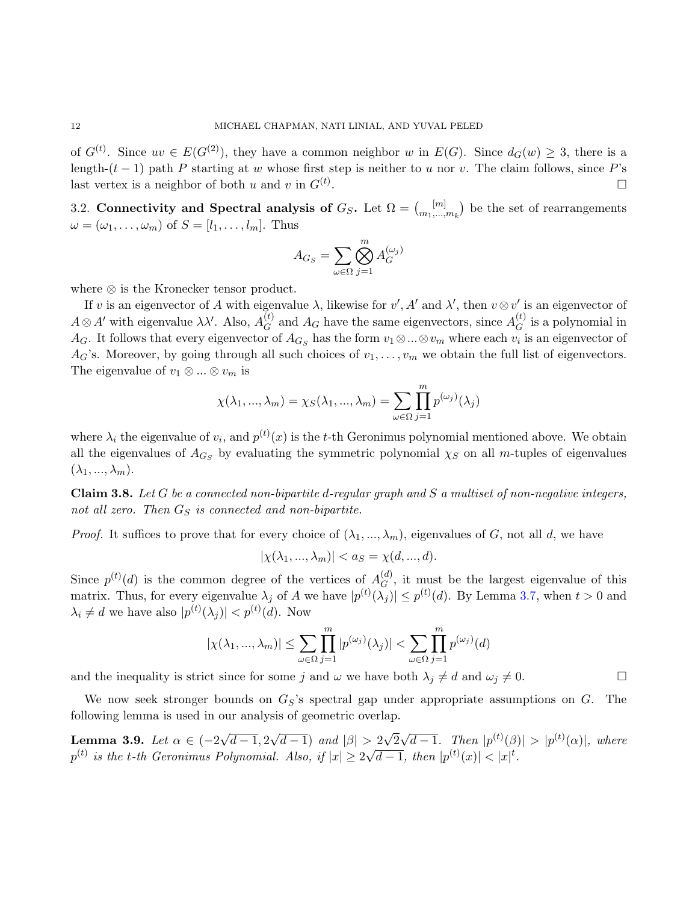of  $G^{(t)}$ . Since  $uv \in E(G^{(2)})$ , they have a common neighbor w in  $E(G)$ . Since  $d_G(w) \geq 3$ , there is a length- $(t-1)$  path P starting at w whose first step is neither to u nor v. The claim follows, since P's last vertex is a neighbor of both u and v in  $G^{(t)}$ . . В последните поставите на селото на селото на селото на селото на селото на селото на селото на селото на се<br>Селото на селото на селото на селото на селото на селото на селото на селото на селото на селото на селото на

3.2. Connectivity and Spectral analysis of  $G_S$ . Let  $\Omega = \binom{[m]}{m}$  $\binom{[m]}{m_1,\ldots,m_k}$  be the set of rearrangements  $\omega = (\omega_1, \ldots, \omega_m)$  of  $S = [l_1, \ldots, l_m]$ . Thus

$$
A_{G_S} = \sum_{\omega \in \Omega} \bigotimes_{j=1}^m A_G^{(\omega_j)}
$$

where ⊗ is the Kronecker tensor product.

If v is an eigenvector of A with eigenvalue  $\lambda$ , likewise for  $v'$ , A' and  $\lambda'$ , then  $v \otimes v'$  is an eigenvector of  $A \otimes A'$  with eigenvalue  $\lambda \lambda'$ . Also,  $A_G^{(t)}$  $G_G^{(t)}$  and  $A_G$  have the same eigenvectors, since  $A_G^{(t)}$  $G^{(t)}$  is a polynomial in  $A_G$ . It follows that every eigenvector of  $A_{G_S}$  has the form  $v_1 \otimes ... \otimes v_m$  where each  $v_i$  is an eigenvector of  $A_G$ 's. Moreover, by going through all such choices of  $v_1, \ldots, v_m$  we obtain the full list of eigenvectors. The eigenvalue of  $v_1 \otimes \ldots \otimes v_m$  is

$$
\chi(\lambda_1, ..., \lambda_m) = \chi_S(\lambda_1, ..., \lambda_m) = \sum_{\omega \in \Omega} \prod_{j=1}^m p^{(\omega_j)}(\lambda_j)
$$

where  $\lambda_i$  the eigenvalue of  $v_i$ , and  $p^{(t)}(x)$  is the t-th Geronimus polynomial mentioned above. We obtain all the eigenvalues of  $A_{G_S}$  by evaluating the symmetric polynomial  $\chi_S$  on all m-tuples of eigenvalues  $(\lambda_1, ..., \lambda_m).$ 

<span id="page-11-1"></span>**Claim 3.8.** Let G be a connected non-bipartite d-regular graph and S a multiset of non-negative integers, not all zero. Then  $G_S$  is connected and non-bipartite.

*Proof.* It suffices to prove that for every choice of  $(\lambda_1, ..., \lambda_m)$ , eigenvalues of G, not all d, we have

 $|\chi(\lambda_1, ..., \lambda_m)| < a_S = \chi(d, ..., d).$ 

Since  $p^{(t)}(d)$  is the common degree of the vertices of  $A_G^{(d)}$  $G<sup>(a)</sup>$ , it must be the largest eigenvalue of this matrix. Thus, for every eigenvalue  $\lambda_j$  of A we have  $|p^{(t)}(\lambda_j)| \leq p^{(t)}(d)$ . By Lemma [3.7,](#page-10-0) when  $t > 0$  and  $\lambda_i \neq d$  we have also  $|p^{(t)}(\lambda_j)| < p^{(t)}(d)$ . Now

$$
|\chi(\lambda_1, ..., \lambda_m)| \le \sum_{\omega \in \Omega} \prod_{j=1}^m |p^{(\omega_j)}(\lambda_j)| < \sum_{\omega \in \Omega} \prod_{j=1}^m p^{(\omega_j)}(d)
$$

and the inequality is strict since for some j and  $\omega$  we have both  $\lambda_j \neq d$  and  $\omega_j \neq 0$ .

We now seek stronger bounds on  $G_S$ 's spectral gap under appropriate assumptions on  $G$ . The following lemma is used in our analysis of geometric overlap.

<span id="page-11-0"></span>Lemma 3.9. Let  $\alpha \in (-2)$ √  $d-1, 2$ √  $(d-1)$  and  $|\beta| > 2$ √ 2 √  $\overline{d-1}$ . Then  $|p^{(t)}(\beta)| > |p^{(t)}(\alpha)|$ , where  $p^{(t)}$  is the t-th Geronimus Polynomial. Also, if  $|x|\geq 2$ √  $\overline{d-1}$ , then  $|p^{(t)}(x)| < |x|^t$ .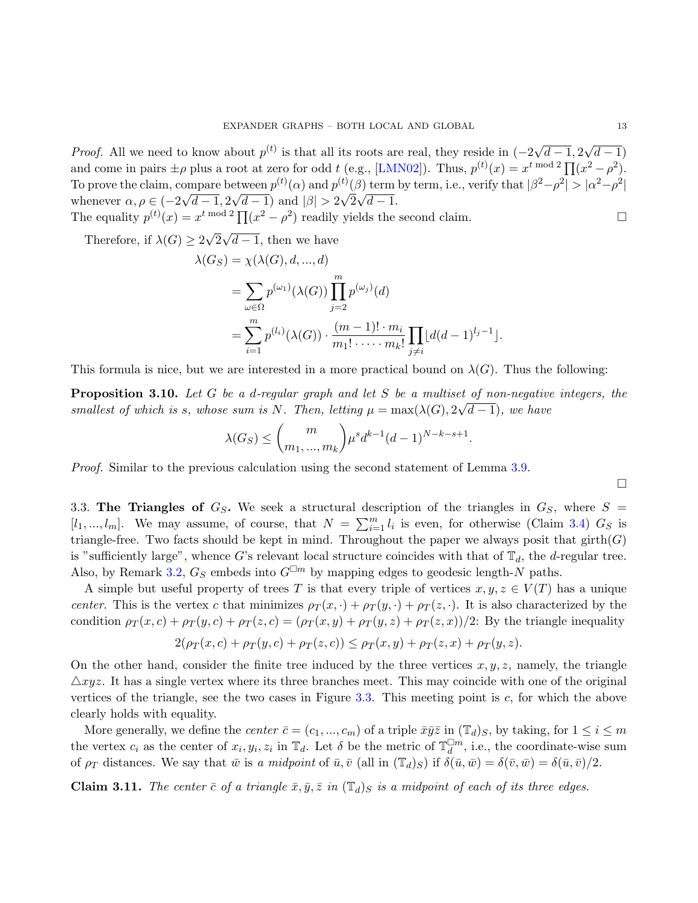*Proof.* All we need to know about  $p^{(t)}$  is that all its roots are real, they reside in  $(-2)$ √  $d - 1, 2$ √  $(d-1)$ and come in pairs  $\pm \rho$  plus a root at zero for odd t (e.g., [\[LMN02\]](#page-28-11)). Thus,  $p^{(t)}(x) = x^{t \mod 2} \prod (x^2 - \rho^2)$ . To prove the claim, compare between  $p^{(t)}(\alpha)$  and  $p^{(t)}(\beta)$  term by term, i.e., verify that  $|\beta^2 - \rho^2| > |\alpha^2 - \rho^2|$ whenever  $\alpha, \rho \in (-2)$ ∪ı.<br>∖  $d - 1, 2$ √  $(d-1)$  and  $|\beta| > 2\sqrt{2}$ √  $d-1.$ The equality  $p^{(t)}(x) = x^{t \mod 2} \prod (x^2 - \rho^2)$  readily yields the second claim.

Therefore, if  $\lambda(G) \geq 2$ √ 2 √  $d-1$ , then we have

$$
\lambda(G_S) = \chi(\lambda(G), d, ..., d)
$$
  
=  $\sum_{\omega \in \Omega} p^{(\omega_1)}(\lambda(G)) \prod_{j=2}^{m} p^{(\omega_j)}(d)$   
=  $\sum_{i=1}^{m} p^{(l_i)}(\lambda(G)) \cdot \frac{(m-1)! \cdot m_i}{m_1! \cdot \cdot \cdot \cdot m_k!} \prod_{j \neq i} [d(d-1)^{l_j-1}].$ 

This formula is nice, but we are interested in a more practical bound on  $\lambda(G)$ . Thus the following:

<span id="page-12-1"></span>**Proposition 3.10.** Let G be a d-regular graph and let S be a multiset of non-negative integers, the smallest of which is s, whose sum is N. Then, letting  $\mu = \max(\lambda(G), 2\sqrt{d-1})$ , we have

$$
\lambda(G_S) \leq {m \choose m_1, ..., m_k} \mu^s d^{k-1} (d-1)^{N-k-s+1}.
$$

Proof. Similar to the previous calculation using the second statement of Lemma [3.9.](#page-11-0)

 $\Box$ 

<span id="page-12-0"></span>3.3. The Triangles of  $G_S$ . We seek a structural description of the triangles in  $G_S$ , where  $S =$  $[l_1, ..., l_m]$ . We may assume, of course, that  $N = \sum_{i=1}^m l_i$  is even, for otherwise (Claim [3.4\)](#page-9-0)  $G_S$  is triangle-free. Two facts should be kept in mind. Throughout the paper we always posit that  $girth(G)$ is "sufficiently large", whence G's relevant local structure coincides with that of  $\mathbb{T}_d$ , the d-regular tree. Also, by Remark [3.2,](#page-9-1)  $G_S$  embeds into  $G^{\Box m}$  by mapping edges to geodesic length-N paths.

A simple but useful property of trees T is that every triple of vertices  $x, y, z \in V(T)$  has a unique center. This is the vertex c that minimizes  $\rho_T(x, \cdot) + \rho_T(y, \cdot) + \rho_T(z, \cdot)$ . It is also characterized by the condition  $\rho_T(x,c) + \rho_T(y,c) + \rho_T(z,c) = (\rho_T(x,y) + \rho_T(y,z) + \rho_T(z,x))/2$ : By the triangle inequality

$$
2(\rho_T(x,c) + \rho_T(y,c) + \rho_T(z,c)) \leq \rho_T(x,y) + \rho_T(z,x) + \rho_T(y,z).
$$

On the other hand, consider the finite tree induced by the three vertices  $x, y, z$ , namely, the triangle  $\triangle xyz$ . It has a single vertex where its three branches meet. This may coincide with one of the original vertices of the triangle, see the two cases in Figure [3.3.](#page-12-0) This meeting point is c, for which the above clearly holds with equality.

More generally, we define the *center*  $\bar{c} = (c_1, ..., c_m)$  of a triple  $\bar{x}\bar{y}\bar{z}$  in  $(\mathbb{T}_d)_S$ , by taking, for  $1 \leq i \leq m$ the vertex  $c_i$  as the center of  $x_i, y_i, z_i$  in  $\mathbb{T}_d$ . Let  $\delta$  be the metric of  $\mathbb{T}_d^{\square m}$ , i.e., the coordinate-wise sum of  $\rho_T$  distances. We say that  $\bar{w}$  is a midpoint of  $\bar{u}, \bar{v}$  (all in  $(\mathbb{T}_d)_S$ ) if  $\delta(\bar{u}, \bar{w}) = \delta(\bar{v}, \bar{w}) = \delta(\bar{u}, \bar{v})/2$ .

**Claim 3.11.** The center  $\bar{c}$  of a triangle  $\bar{x}, \bar{y}, \bar{z}$  in  $(\mathbb{T}_d)_S$  is a midpoint of each of its three edges.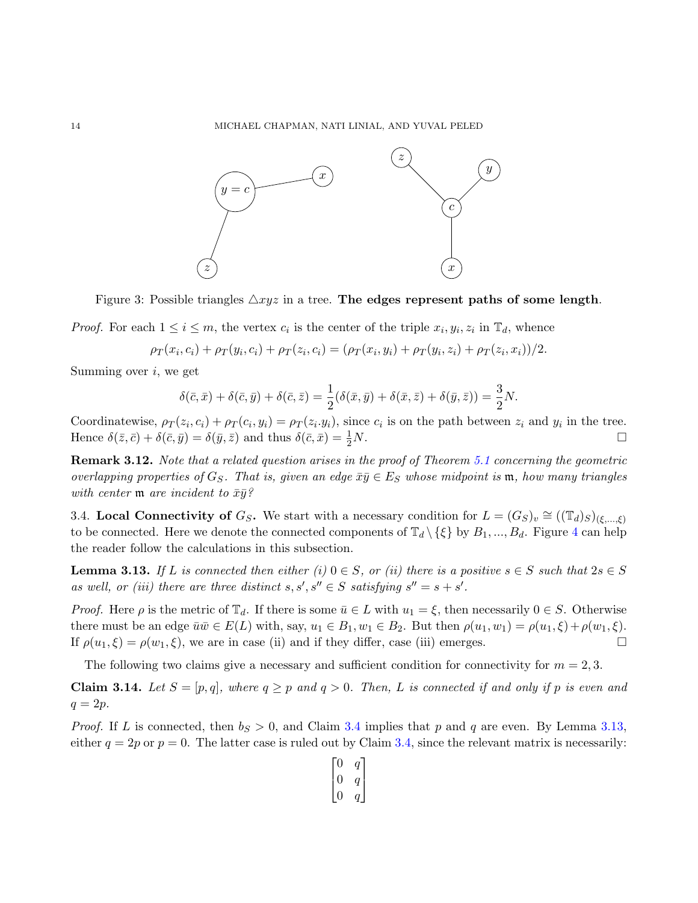

Figure 3: Possible triangles  $\triangle xyz$  in a tree. The edges represent paths of some length.

*Proof.* For each  $1 \leq i \leq m$ , the vertex  $c_i$  is the center of the triple  $x_i, y_i, z_i$  in  $\mathbb{T}_d$ , whence

$$
\rho_T(x_i, c_i) + \rho_T(y_i, c_i) + \rho_T(z_i, c_i) = (\rho_T(x_i, y_i) + \rho_T(y_i, z_i) + \rho_T(z_i, x_i))/2.
$$

Summing over  $i$ , we get

$$
\delta(\bar{c}, \bar{x}) + \delta(\bar{c}, \bar{y}) + \delta(\bar{c}, \bar{z}) = \frac{1}{2}(\delta(\bar{x}, \bar{y}) + \delta(\bar{x}, \bar{z}) + \delta(\bar{y}, \bar{z})) = \frac{3}{2}N.
$$

Coordinatewise,  $\rho_T(z_i, c_i) + \rho_T(c_i, y_i) = \rho_T(z_i, y_i)$ , since  $c_i$  is on the path between  $z_i$  and  $y_i$  in the tree. Hence  $\delta(\bar{z}, \bar{c}) + \delta(\bar{c}, \bar{y}) = \delta(\bar{y}, \bar{z})$  and thus  $\delta(\bar{c}, \bar{x}) = \frac{1}{2}N$ .  $\frac{1}{2}N$ .

Remark 3.12. Note that a related question arises in the proof of Theorem [5.1](#page-21-0) concerning the geometric overlapping properties of  $G_S$ . That is, given an edge  $\bar{x}\bar{y} \in E_S$  whose midpoint is  $\mathfrak{m}$ , how many triangles with center  $\mathfrak{m}$  are incident to  $\bar{x}\bar{y}$ ?

3.4. Local Connectivity of  $G_S$ . We start with a necessary condition for  $L = (G_S)_v \cong ((\mathbb{T}_d)_S)_{(\xi,\ldots,\xi)}$ to be connected. Here we denote the connected components of  $\mathbb{T}_d \setminus \{\xi\}$  by  $B_1, ..., B_d$ . Figure [4](#page-15-0) can help the reader follow the calculations in this subsection.

<span id="page-13-0"></span>**Lemma 3.13.** If L is connected then either (i)  $0 \in S$ , or (ii) there is a positive  $s \in S$  such that  $2s \in S$ as well, or (iii) there are three distinct  $s, s', s'' \in S$  satisfying  $s'' = s + s'$ .

*Proof.* Here  $\rho$  is the metric of  $\mathbb{T}_d$ . If there is some  $\bar{u} \in L$  with  $u_1 = \xi$ , then necessarily  $0 \in S$ . Otherwise there must be an edge  $\bar{u}\bar{w}\in E(L)$  with, say,  $u_1\in B_1$ ,  $w_1\in B_2$ . But then  $\rho(u_1, w_1) = \rho(u_1, \xi) + \rho(w_1, \xi)$ . If  $\rho(u_1,\xi) = \rho(w_1,\xi)$ , we are in case (ii) and if they differ, case (iii) emerges.

The following two claims give a necessary and sufficient condition for connectivity for  $m = 2, 3$ .

<span id="page-13-1"></span>**Claim 3.14.** Let  $S = [p, q]$ , where  $q \geq p$  and  $q > 0$ . Then, L is connected if and only if p is even and  $q = 2p$ .

*Proof.* If L is connected, then  $b_S > 0$ , and Claim [3.4](#page-9-0) implies that p and q are even. By Lemma [3.13,](#page-13-0) either  $q = 2p$  or  $p = 0$ . The latter case is ruled out by Claim [3.4,](#page-9-0) since the relevant matrix is necessarily:

$$
\begin{bmatrix} 0 & q \\ 0 & q \\ 0 & q \end{bmatrix}
$$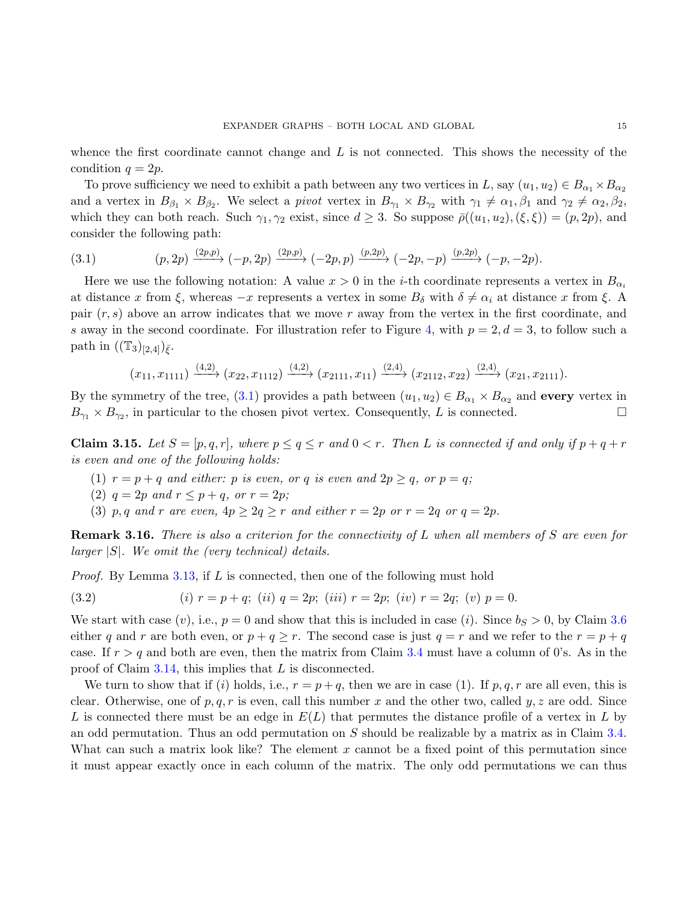whence the first coordinate cannot change and  $L$  is not connected. This shows the necessity of the condition  $q = 2p$ .

To prove sufficiency we need to exhibit a path between any two vertices in L, say  $(u_1, u_2) \in B_{\alpha_1} \times B_{\alpha_2}$ and a vertex in  $B_{\beta_1} \times B_{\beta_2}$ . We select a *pivot* vertex in  $B_{\gamma_1} \times B_{\gamma_2}$  with  $\gamma_1 \neq \alpha_1, \beta_1$  and  $\gamma_2 \neq \alpha_2, \beta_2$ , which they can both reach. Such  $\gamma_1, \gamma_2$  exist, since  $d \geq 3$ . So suppose  $\bar{\rho}((u_1, u_2), (\xi, \xi)) = (p, 2p)$ , and consider the following path:

<span id="page-14-0"></span>(3.1) 
$$
(p,2p) \xrightarrow{(2p,p)} (-p,2p) \xrightarrow{(2p,p)} (-2p,p) \xrightarrow{(p,2p)} (-2p,-p) \xrightarrow{(p,2p)} (-p,-2p).
$$

Here we use the following notation: A value  $x > 0$  in the *i*-th coordinate represents a vertex in  $B_{\alpha_i}$ at distance x from  $\xi$ , whereas  $-x$  represents a vertex in some  $B_{\delta}$  with  $\delta \neq \alpha_i$  at distance x from  $\xi$ . A pair  $(r, s)$  above an arrow indicates that we move r away from the vertex in the first coordinate, and s away in the second coordinate. For illustration refer to Figure [4,](#page-15-0) with  $p = 2, d = 3$ , to follow such a path in  $((\mathbb{T}_3)_{[2,4]})_{\bar{\xi}}$ .

$$
(x_{11}, x_{1111}) \xrightarrow{(4,2)} (x_{22}, x_{1112}) \xrightarrow{(4,2)} (x_{2111}, x_{11}) \xrightarrow{(2,4)} (x_{2112}, x_{22}) \xrightarrow{(2,4)} (x_{21}, x_{2111}).
$$

By the symmetry of the tree, [\(3.1\)](#page-14-0) provides a path between  $(u_1, u_2) \in B_{\alpha_1} \times B_{\alpha_2}$  and **every** vertex in  $B_{\gamma_1} \times B_{\gamma_2}$ , in particular to the chosen pivot vertex. Consequently, L is connected.

<span id="page-14-2"></span>**Claim 3.15.** Let  $S = [p, q, r]$ , where  $p \le q \le r$  and  $0 < r$ . Then L is connected if and only if  $p + q + r$ is even and one of the following holds:

- (1)  $r = p + q$  and either: p is even, or q is even and  $2p \ge q$ , or  $p = q$ ;
- (2)  $q = 2p$  and  $r \leq p + q$ , or  $r = 2p$ ;
- (3) p, q and r are even,  $4p \geq 2q \geq r$  and either  $r = 2p$  or  $r = 2q$  or  $q = 2p$ .

**Remark 3.16.** There is also a criterion for the connectivity of L when all members of S are even for larger  $|S|$ . We omit the (very technical) details.

*Proof.* By Lemma [3.13,](#page-13-0) if L is connected, then one of the following must hold

<span id="page-14-1"></span>(3.2) 
$$
(i) r = p + q; (ii) q = 2p; (iii) r = 2p; (iv) r = 2q; (v) p = 0.
$$

We start with case (v), i.e.,  $p = 0$  and show that this is included in case (i). Since  $b_S > 0$ , by Claim [3.6](#page-10-1) either q and r are both even, or  $p + q \geq r$ . The second case is just  $q = r$  and we refer to the  $r = p + q$ case. If  $r > q$  and both are even, then the matrix from Claim [3.4](#page-9-0) must have a column of 0's. As in the proof of Claim [3.14,](#page-13-1) this implies that L is disconnected.

We turn to show that if (i) holds, i.e.,  $r = p + q$ , then we are in case (1). If p, q, r are all even, this is clear. Otherwise, one of p, q, r is even, call this number x and the other two, called  $y, z$  are odd. Since L is connected there must be an edge in  $E(L)$  that permutes the distance profile of a vertex in L by an odd permutation. Thus an odd permutation on S should be realizable by a matrix as in Claim [3.4.](#page-9-0) What can such a matrix look like? The element  $x$  cannot be a fixed point of this permutation since it must appear exactly once in each column of the matrix. The only odd permutations we can thus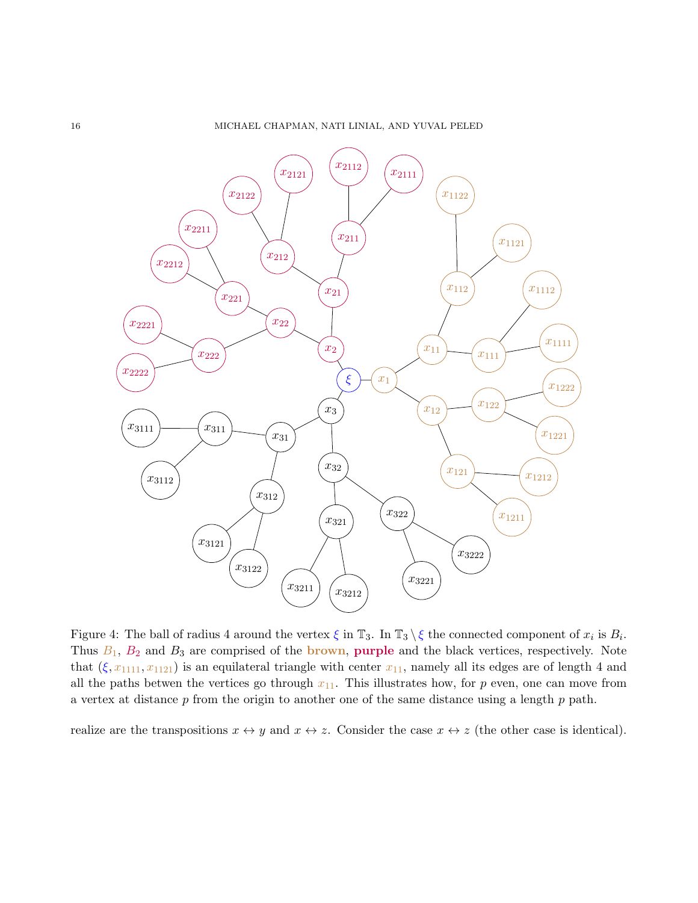<span id="page-15-0"></span>

Figure 4: The ball of radius 4 around the vertex  $\xi$  in  $\mathbb{T}_3$ . In  $\mathbb{T}_3 \setminus \xi$  the connected component of  $x_i$  is  $B_i$ . Thus  $B_1$ ,  $B_2$  and  $B_3$  are comprised of the brown, purple and the black vertices, respectively. Note that  $(\xi, x_{1111}, x_{1121})$  is an equilateral triangle with center  $x_{11}$ , namely all its edges are of length 4 and all the paths betwen the vertices go through  $x_{11}$ . This illustrates how, for p even, one can move from a vertex at distance  $p$  from the origin to another one of the same distance using a length  $p$  path.

realize are the transpositions  $x \leftrightarrow y$  and  $x \leftrightarrow z$ . Consider the case  $x \leftrightarrow z$  (the other case is identical).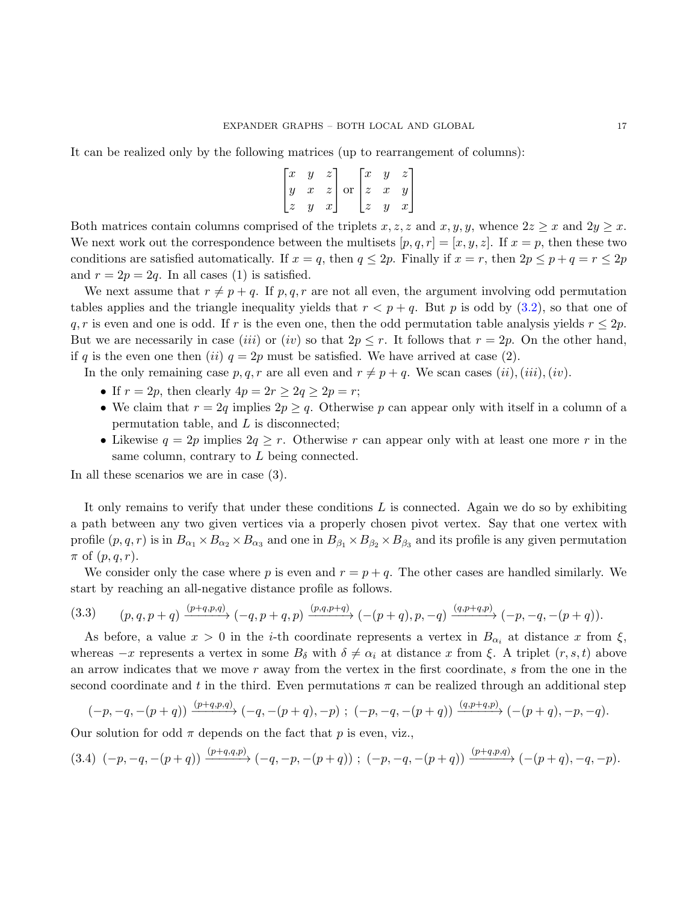It can be realized only by the following matrices (up to rearrangement of columns):

$$
\begin{bmatrix} x & y & z \\ y & x & z \\ z & y & x \end{bmatrix}
$$
 or 
$$
\begin{bmatrix} x & y & z \\ z & x & y \\ z & y & x \end{bmatrix}
$$

Both matrices contain columns comprised of the triplets x, z, z and x, y, y, whence  $2z \geq x$  and  $2y \geq x$ . We next work out the correspondence between the multisets  $[p, q, r] = [x, y, z]$ . If  $x = p$ , then these two conditions are satisfied automatically. If  $x = q$ , then  $q \le 2p$ . Finally if  $x = r$ , then  $2p \le p + q = r \le 2p$ and  $r = 2p = 2q$ . In all cases (1) is satisfied.

We next assume that  $r \neq p + q$ . If p, q, r are not all even, the argument involving odd permutation tables applies and the triangle inequality yields that  $r < p + q$ . But p is odd by [\(3.2\)](#page-14-1), so that one of q, r is even and one is odd. If r is the even one, then the odd permutation table analysis yields  $r \leq 2p$ . But we are necessarily in case *(iii)* or *(iv)* so that  $2p \leq r$ . It follows that  $r = 2p$ . On the other hand, if q is the even one then (ii)  $q = 2p$  must be satisfied. We have arrived at case (2).

In the only remaining case p, q, r are all even and  $r \neq p + q$ . We scan cases  $(ii), (iii), (iv)$ .

- If  $r = 2p$ , then clearly  $4p = 2r \geq 2q \geq 2p = r$ ;
- We claim that  $r = 2q$  implies  $2p \geq q$ . Otherwise p can appear only with itself in a column of a permutation table, and L is disconnected;
- Likewise  $q = 2p$  implies  $2q \geq r$ . Otherwise r can appear only with at least one more r in the same column, contrary to L being connected.

In all these scenarios we are in case (3).

It only remains to verify that under these conditions  $L$  is connected. Again we do so by exhibiting a path between any two given vertices via a properly chosen pivot vertex. Say that one vertex with profile  $(p, q, r)$  is in  $B_{\alpha_1} \times B_{\alpha_2} \times B_{\alpha_3}$  and one in  $B_{\beta_1} \times B_{\beta_2} \times B_{\beta_3}$  and its profile is any given permutation  $\pi$  of  $(p, q, r)$ .

We consider only the case where p is even and  $r = p + q$ . The other cases are handled similarly. We start by reaching an all-negative distance profile as follows.

<span id="page-16-0"></span>
$$
(3.3) \qquad (p,q,p+q) \xrightarrow{(p+q,p,q)} (-q,p+q,p) \xrightarrow{(p,q,p+q)} (-(p+q),p,-q) \xrightarrow{(q,p+q,p)} (-p,-q,-(p+q)).
$$

As before, a value  $x > 0$  in the *i*-th coordinate represents a vertex in  $B_{\alpha_i}$  at distance x from  $\xi$ , whereas  $-x$  represents a vertex in some  $B_{\delta}$  with  $\delta \neq \alpha_i$  at distance x from  $\xi$ . A triplet  $(r, s, t)$  above an arrow indicates that we move  $r$  away from the vertex in the first coordinate,  $s$  from the one in the second coordinate and t in the third. Even permutations  $\pi$  can be realized through an additional step

$$
(-p,-q,-(p+q)) \xrightarrow{(p+q,p,q)} (-q,-(p+q),-p) ; (-p,-q,-(p+q)) \xrightarrow{(q,p+q,p)} (-(p+q),-p,-q).
$$

Our solution for odd  $\pi$  depends on the fact that p is even, viz.,

<span id="page-16-1"></span>
$$
(3.4) (-p,-q,-(p+q)) \xrightarrow{(p+q,q,p)} (-q,-p,-(p+q)) ; (-p,-q,-(p+q)) \xrightarrow{(p+q,p,q)} (-(p+q),-q,-p).
$$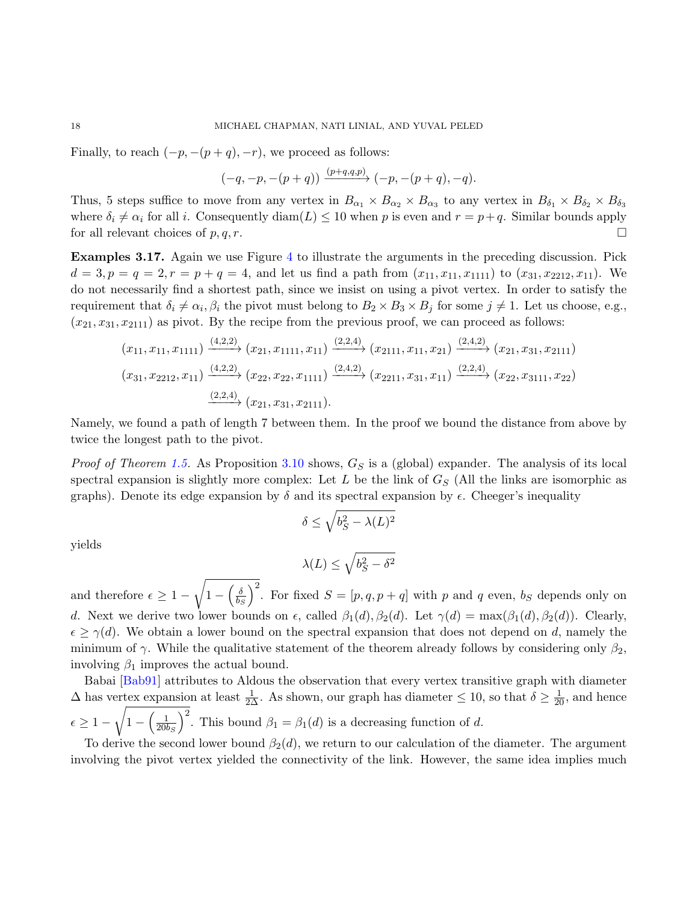Finally, to reach  $(-p, -(p+q), -r)$ , we proceed as follows:

$$
(-q,-p,-(p+q)) \xrightarrow{(p+q,q,p)} (-p,-(p+q),-q).
$$

Thus, 5 steps suffice to move from any vertex in  $B_{\alpha_1} \times B_{\alpha_2} \times B_{\alpha_3}$  to any vertex in  $B_{\delta_1} \times B_{\delta_2} \times B_{\delta_3}$ where  $\delta_i \neq \alpha_i$  for all i. Consequently diam(L)  $\leq 10$  when p is even and  $r = p+q$ . Similar bounds apply for all relevant choices of p, q, r.

Examples 3.17. Again we use Figure [4](#page-15-0) to illustrate the arguments in the preceding discussion. Pick  $d = 3, p = q = 2, r = p + q = 4$ , and let us find a path from  $(x_{11}, x_{11}, x_{1111})$  to  $(x_{31}, x_{2212}, x_{11})$ . We do not necessarily find a shortest path, since we insist on using a pivot vertex. In order to satisfy the requirement that  $\delta_i \neq \alpha_i, \beta_i$  the pivot must belong to  $B_2 \times B_3 \times B_j$  for some  $j \neq 1$ . Let us choose, e.g.,  $(x_{21}, x_{31}, x_{2111})$  as pivot. By the recipe from the previous proof, we can proceed as follows:

$$
(x_{11}, x_{11}, x_{1111}) \xrightarrow{(4,2,2)} (x_{21}, x_{1111}, x_{11}) \xrightarrow{(2,2,4)} (x_{2111}, x_{11}, x_{21}) \xrightarrow{(2,4,2)} (x_{21}, x_{31}, x_{2111})
$$
  

$$
(x_{31}, x_{2212}, x_{11}) \xrightarrow{(4,2,2)} (x_{22}, x_{22}, x_{1111}) \xrightarrow{(2,4,2)} (x_{2211}, x_{31}, x_{11}) \xrightarrow{(2,2,4)} (x_{22}, x_{3111}, x_{22})
$$
  

$$
\xrightarrow{(2,2,4)} (x_{21}, x_{31}, x_{2111}).
$$

Namely, we found a path of length 7 between them. In the proof we bound the distance from above by twice the longest path to the pivot.

*Proof of Theorem [1.5.](#page-2-3)* As Proposition [3.10](#page-12-1) shows,  $G<sub>S</sub>$  is a (global) expander. The analysis of its local spectral expansion is slightly more complex: Let L be the link of  $G_S$  (All the links are isomorphic as graphs). Denote its edge expansion by  $\delta$  and its spectral expansion by  $\epsilon$ . Cheeger's inequality

$$
\delta \le \sqrt{b_S^2 - \lambda(L)^2}
$$

yields

$$
\lambda(L) \leq \sqrt{b_S^2 - \delta^2}
$$

and therefore  $\epsilon \geq 1$  – <sup>1</sup>  $1-\left(\frac{\delta}{\hbar c}\right)$  $\overline{b_S}$  $\int_0^2$ . For fixed  $S = [p, q, p + q]$  with p and q even, b<sub>S</sub> depends only on d. Next we derive two lower bounds on  $\epsilon$ , called  $\beta_1(d)$ ,  $\beta_2(d)$ . Let  $\gamma(d) = \max(\beta_1(d), \beta_2(d))$ . Clearly,  $\epsilon \geq \gamma(d)$ . We obtain a lower bound on the spectral expansion that does not depend on d, namely the minimum of  $\gamma$ . While the qualitative statement of the theorem already follows by considering only  $\beta_2$ , involving  $\beta_1$  improves the actual bound.

Babai [\[Bab91\]](#page-27-1) attributes to Aldous the observation that every vertex transitive graph with diameter  $\Delta$  has vertex expansion at least  $\frac{1}{2\Delta}$ . As shown, our graph has diameter  $\leq 10$ , so that  $\delta \geq \frac{1}{20}$ , and hence  $\epsilon \geq 1$  – <sup>1</sup>  $1 - \left(\frac{1}{20l}\right)$  $\overline{20b_S}$ )<sup>2</sup>. This bound  $\beta_1 = \beta_1(d)$  is a decreasing function of d.

To derive the second lower bound  $\beta_2(d)$ , we return to our calculation of the diameter. The argument involving the pivot vertex yielded the connectivity of the link. However, the same idea implies much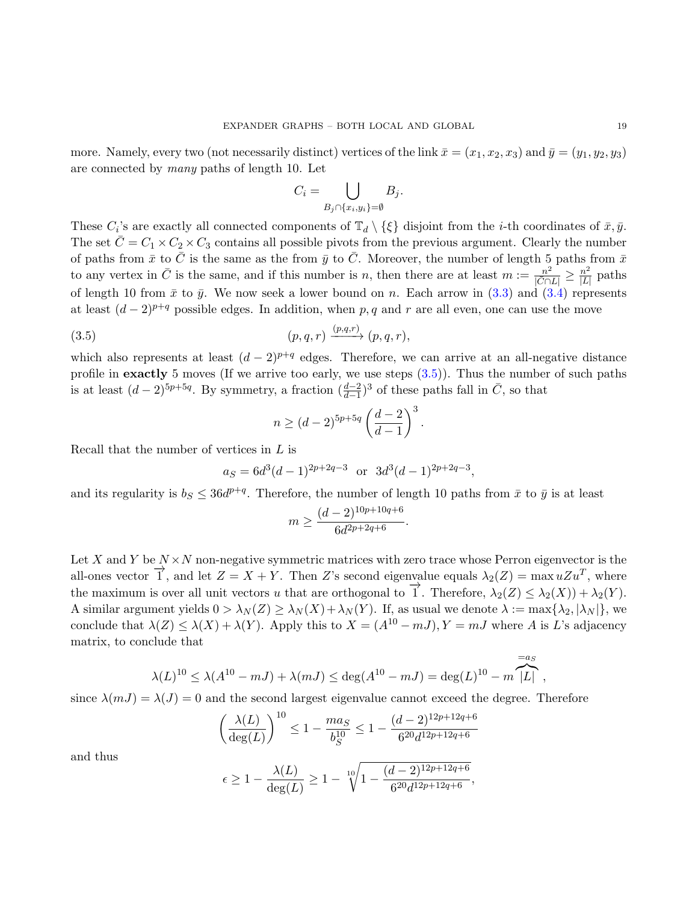more. Namely, every two (not necessarily distinct) vertices of the link  $\bar{x} = (x_1, x_2, x_3)$  and  $\bar{y} = (y_1, y_2, y_3)$ are connected by many paths of length 10. Let

$$
C_i = \bigcup_{B_j \cap \{x_i, y_i\} = \emptyset} B_j.
$$

These  $C_i$ 's are exactly all connected components of  $\mathbb{T}_d \setminus {\xi}$  disjoint from the *i*-th coordinates of  $\bar{x}, \bar{y}$ . The set  $\overline{C} = C_1 \times C_2 \times C_3$  contains all possible pivots from the previous argument. Clearly the number of paths from  $\bar{x}$  to  $\bar{C}$  is the same as the from  $\bar{y}$  to  $\bar{C}$ . Moreover, the number of length 5 paths from  $\bar{x}$ to any vertex in  $\bar{C}$  is the same, and if this number is n, then there are at least  $m := \frac{n^2}{\sqrt{2}}$  $\frac{n^2}{|\bar{C}\cap L|} \geq \frac{n^2}{|L|}$  $\frac{n^2}{|L|}$  paths of length 10 from  $\bar{x}$  to  $\bar{y}$ . We now seek a lower bound on n. Each arrow in [\(3.3\)](#page-16-0) and [\(3.4\)](#page-16-1) represents at least  $(d-2)^{p+q}$  possible edges. In addition, when p, q and r are all even, one can use the move

(3.5) (p, q, r) (p,q,r) −−−−→ (p, q, r),

which also represents at least  $(d-2)^{p+q}$  edges. Therefore, we can arrive at an all-negative distance profile in **exactly** 5 moves (If we arrive too early, we use steps  $(3.5)$ ). Thus the number of such paths is at least  $(d-2)^{5p+5q}$ . By symmetry, a fraction  $(\frac{d-2}{d-1})^3$  of these paths fall in  $\overline{C}$ , so that

<span id="page-18-0"></span>
$$
n \ge (d-2)^{5p+5q} \left(\frac{d-2}{d-1}\right)^3
$$

.

Recall that the number of vertices in  $L$  is

$$
a_S = 6d^3(d-1)^{2p+2q-3}
$$
 or  $3d^3(d-1)^{2p+2q-3}$ ,

and its regularity is  $b_S \leq 36d^{p+q}$ . Therefore, the number of length 10 paths from  $\bar{x}$  to  $\bar{y}$  is at least

$$
m \ge \frac{(d-2)^{10p+10q+6}}{6d^{2p+2q+6}}.
$$

Let X and Y be  $N \times N$  non-negative symmetric matrices with zero trace whose Perron eigenvector is the all-ones vector  $\overrightarrow{1}$ , and let  $Z = X + Y$ . Then Z's second eigenvalue equals  $\lambda_2(Z) = \max uZu^T$ , where the maximum is over all unit vectors u that are orthogonal to  $\overrightarrow{1}$ . Therefore,  $\lambda_2(Z) \leq \lambda_2(X) + \lambda_2(Y)$ . A similar argument yields  $0 > \lambda_N(Z) \ge \lambda_N(X) + \lambda_N(Y)$ . If, as usual we denote  $\lambda := \max{\lambda_2, |\lambda_N|\}$ , we conclude that  $\lambda(Z) \leq \lambda(X) + \lambda(Y)$ . Apply this to  $X = (A^{10} - mJ), Y = mJ$  where A is L's adjacency matrix, to conclude that

$$
\lambda(L)^{10} \le \lambda(A^{10} - mJ) + \lambda(mJ) \le \deg(A^{10} - mJ) = \deg(L)^{10} - m\overbrace{|L|}^{=a_S},
$$

since  $\lambda(mJ) = \lambda(J) = 0$  and the second largest eigenvalue cannot exceed the degree. Therefore

$$
\left(\frac{\lambda(L)}{\deg(L)}\right)^{10} \le 1 - \frac{ma_S}{b_S^{10}} \le 1 - \frac{(d-2)^{12p+12q+6}}{6^{20}d^{12p+12q+6}}
$$

and thus

$$
\epsilon \ge 1 - \frac{\lambda(L)}{\deg(L)} \ge 1 - \sqrt[10]{1 - \frac{(d-2)^{12p+12q+6}}{6^{20}d^{12p+12q+6}}},
$$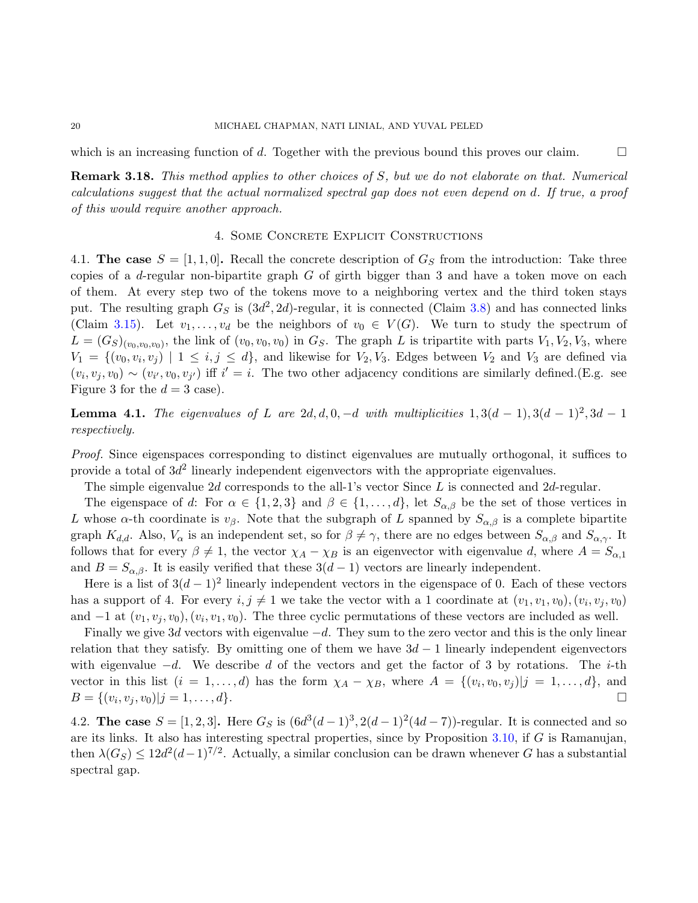which is an increasing function of d. Together with the previous bound this proves our claim.

Remark 3.18. This method applies to other choices of S, but we do not elaborate on that. Numerical calculations suggest that the actual normalized spectral gap does not even depend on d. If true, a proof of this would require another approach.

### 4. Some Concrete Explicit Constructions

<span id="page-19-0"></span>4.1. The case  $S = [1, 1, 0]$ . Recall the concrete description of  $G<sub>S</sub>$  from the introduction: Take three copies of a  $d$ -regular non-bipartite graph  $G$  of girth bigger than 3 and have a token move on each of them. At every step two of the tokens move to a neighboring vertex and the third token stays put. The resulting graph  $G_S$  is  $(3d^2, 2d)$ -regular, it is connected (Claim [3.8\)](#page-11-1) and has connected links (Claim [3.15\)](#page-14-2). Let  $v_1, \ldots, v_d$  be the neighbors of  $v_0 \in V(G)$ . We turn to study the spectrum of  $L = (G_S)_{(v_0, v_0, v_0)}$ , the link of  $(v_0, v_0, v_0)$  in  $G_S$ . The graph L is tripartite with parts  $V_1, V_2, V_3$ , where  $V_1 = \{(v_0, v_i, v_j) \mid 1 \leq i, j \leq d\}$ , and likewise for  $V_2, V_3$ . Edges between  $V_2$  and  $V_3$  are defined via  $(v_i, v_j, v_0) \sim (v_{i'}, v_0, v_{j'})$  iff  $i' = i$ . The two other adjacency conditions are similarly defined.(E.g. see Figure 3 for the  $d = 3$  case).

<span id="page-19-1"></span>**Lemma 4.1.** The eigenvalues of L are  $2d, d, 0, -d$  with multiplicities  $1, 3(d-1), 3(d-1)^2, 3d-1$ respectively.

Proof. Since eigenspaces corresponding to distinct eigenvalues are mutually orthogonal, it suffices to provide a total of  $3d^2$  linearly independent eigenvectors with the appropriate eigenvalues.

The simple eigenvalue  $2d$  corresponds to the all-1's vector Since  $L$  is connected and  $2d$ -regular.

The eigenspace of d: For  $\alpha \in \{1, 2, 3\}$  and  $\beta \in \{1, ..., d\}$ , let  $S_{\alpha, \beta}$  be the set of those vertices in L whose  $\alpha$ -th coordinate is  $v_\beta$ . Note that the subgraph of L spanned by  $S_{\alpha,\beta}$  is a complete bipartite graph  $K_{d,d}$ . Also,  $V_{\alpha}$  is an independent set, so for  $\beta \neq \gamma$ , there are no edges between  $S_{\alpha,\beta}$  and  $S_{\alpha,\gamma}$ . It follows that for every  $\beta \neq 1$ , the vector  $\chi_A - \chi_B$  is an eigenvector with eigenvalue d, where  $A = S_{\alpha,1}$ and  $B = S_{\alpha,\beta}$ . It is easily verified that these  $3(d-1)$  vectors are linearly independent.

Here is a list of  $3(d-1)^2$  linearly independent vectors in the eigenspace of 0. Each of these vectors has a support of 4. For every  $i, j \neq 1$  we take the vector with a 1 coordinate at  $(v_1, v_1, v_0), (v_i, v_j, v_0)$ and  $-1$  at  $(v_1, v_j, v_0), (v_i, v_1, v_0)$ . The three cyclic permutations of these vectors are included as well.

Finally we give 3d vectors with eigenvalue  $-d$ . They sum to the zero vector and this is the only linear relation that they satisfy. By omitting one of them we have  $3d - 1$  linearly independent eigenvectors with eigenvalue  $-d$ . We describe d of the vectors and get the factor of 3 by rotations. The i-th vector in this list  $(i = 1, \ldots, d)$  has the form  $\chi_A - \chi_B$ , where  $A = \{(v_i, v_0, v_j)|j = 1, \ldots, d\}$ , and  $B = \{(v_i, v_j, v_0)|j = 1, \ldots, d\}.$ 

4.2. The case  $S = [1, 2, 3]$ . Here  $G_S$  is  $(6d^3(d-1)^3, 2(d-1)^2(4d-7))$ -regular. It is connected and so are its links. It also has interesting spectral properties, since by Proposition  $3.10$ , if G is Ramanujan, then  $\lambda(G_S) \leq 12d^2(d-1)^{7/2}$ . Actually, a similar conclusion can be drawn whenever G has a substantial spectral gap.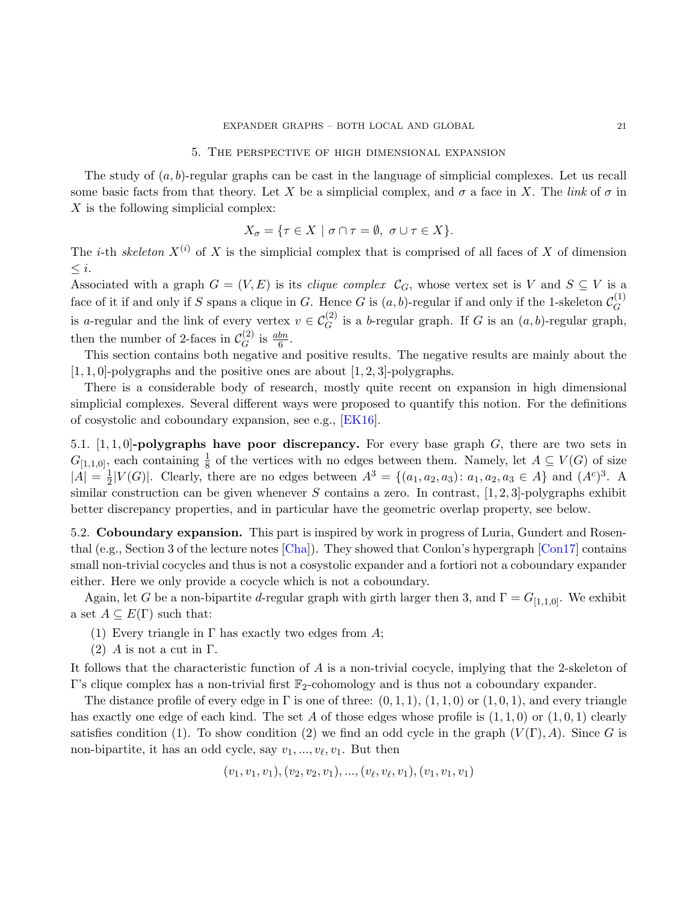#### 5. The perspective of high dimensional expansion

<span id="page-20-0"></span>The study of  $(a, b)$ -regular graphs can be cast in the language of simplicial complexes. Let us recall some basic facts from that theory. Let X be a simplicial complex, and  $\sigma$  a face in X. The link of  $\sigma$  in X is the following simplicial complex:

$$
X_{\sigma} = \{ \tau \in X \mid \sigma \cap \tau = \emptyset, \sigma \cup \tau \in X \}.
$$

The *i*-th skeleton  $X^{(i)}$  of X is the simplicial complex that is comprised of all faces of X of dimension  $\leq i$ .

Associated with a graph  $G = (V, E)$  is its *clique complex*  $\mathcal{C}_G$ , whose vertex set is V and  $S \subseteq V$  is a face of it if and only if S spans a clique in G. Hence G is  $(a, b)$ -regular if and only if the 1-skeleton  $\mathcal{C}_G^{(1)}$ G is a-regular and the link of every vertex  $v \in C_G^{(2)}$  is a b-regular graph. If G is an  $(a, b)$ -regular graph, then the number of 2-faces in  $\mathcal{C}_C^{(2)}$  $G^{(2)}$  is  $\frac{abn}{6}$ .

This section contains both negative and positive results. The negative results are mainly about the  $[1, 1, 0]$ -polygraphs and the positive ones are about  $[1, 2, 3]$ -polygraphs.

There is a considerable body of research, mostly quite recent on expansion in high dimensional simplicial complexes. Several different ways were proposed to quantify this notion. For the definitions of cosystolic and coboundary expansion, see e.g., [\[EK16\]](#page-28-4).

5.1.  $[1, 1, 0]$ -polygraphs have poor discrepancy. For every base graph G, there are two sets in  $G_{[1,1,0]}$ , each containing  $\frac{1}{8}$  of the vertices with no edges between them. Namely, let  $A \subseteq V(G)$  of size  $|A| = \frac{1}{2}$  $\frac{1}{2}|V(G)|$ . Clearly, there are no edges between  $A^3 = \{(a_1, a_2, a_3): a_1, a_2, a_3 \in A\}$  and  $(A^c)^3$ . A similar construction can be given whenever S contains a zero. In contrast,  $[1, 2, 3]$ -polygraphs exhibit better discrepancy properties, and in particular have the geometric overlap property, see below.

5.2. Coboundary expansion. This part is inspired by work in progress of Luria, Gundert and Rosenthal (e.g., Section 3 of the lecture notes [\[Cha\]](#page-27-2)). They showed that Conlon's hypergraph [\[Con17\]](#page-28-6) contains small non-trivial cocycles and thus is not a cosystolic expander and a fortiori not a coboundary expander either. Here we only provide a cocycle which is not a coboundary.

Again, let G be a non-bipartite d-regular graph with girth larger then 3, and  $\Gamma = G_{[1,1,0]}$ . We exhibit a set  $A \subseteq E(\Gamma)$  such that:

- (1) Every triangle in  $\Gamma$  has exactly two edges from A;
- (2) A is not a cut in  $\Gamma$ .

It follows that the characteristic function of A is a non-trivial cocycle, implying that the 2-skeleton of Γ's clique complex has a non-trivial first  $\mathbb{F}_2$ -cohomology and is thus not a coboundary expander.

The distance profile of every edge in  $\Gamma$  is one of three:  $(0, 1, 1), (1, 1, 0)$  or  $(1, 0, 1)$ , and every triangle has exactly one edge of each kind. The set A of those edges whose profile is  $(1, 1, 0)$  or  $(1, 0, 1)$  clearly satisfies condition (1). To show condition (2) we find an odd cycle in the graph  $(V(\Gamma), A)$ . Since G is non-bipartite, it has an odd cycle, say  $v_1, \ldots, v_\ell, v_1$ . But then

$$
(v_1, v_1, v_1), (v_2, v_2, v_1), ..., (v_{\ell}, v_{\ell}, v_1), (v_1, v_1, v_1)
$$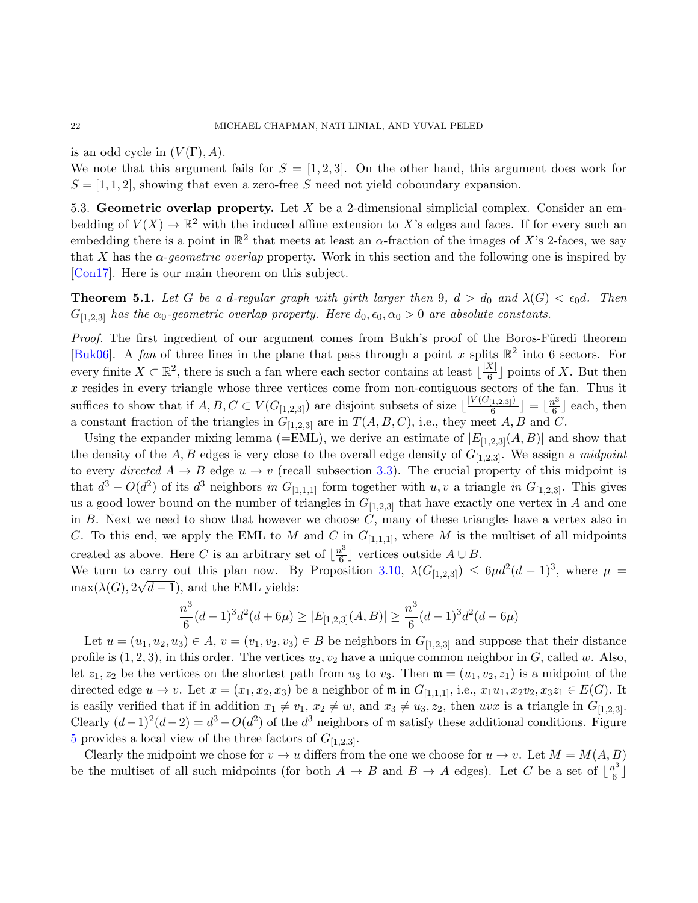is an odd cycle in  $(V(\Gamma), A)$ .

We note that this argument fails for  $S = \begin{bmatrix} 1 & 2 & 3 \end{bmatrix}$ . On the other hand, this argument does work for  $S = \langle 1, 1, 2 \rangle$ , showing that even a zero-free S need not yield coboundary expansion.

5.3. Geometric overlap property. Let X be a 2-dimensional simplicial complex. Consider an embedding of  $V(X) \to \mathbb{R}^2$  with the induced affine extension to X's edges and faces. If for every such an embedding there is a point in  $\mathbb{R}^2$  that meets at least an  $\alpha$ -fraction of the images of X's 2-faces, we say that X has the  $\alpha$ -geometric overlap property. Work in this section and the following one is inspired by [\[Con17\]](#page-28-6). Here is our main theorem on this subject.

<span id="page-21-0"></span>**Theorem 5.1.** Let G be a d-regular graph with girth larger then 9,  $d > d_0$  and  $\lambda(G) < \epsilon_0 d$ . Then  $G_{[1,2,3]}$  has the  $\alpha_0$ -geometric overlap property. Here  $d_0, \epsilon_0, \alpha_0 > 0$  are absolute constants.

Proof. The first ingredient of our argument comes from Bukh's proof of the Boros-Füredi theorem [\[Buk06\]](#page-27-3). A fan of three lines in the plane that pass through a point x splits  $\mathbb{R}^2$  into 6 sectors. For every finite  $X \subset \mathbb{R}^2$ , there is such a fan where each sector contains at least  $\frac{|X|}{6}$  $\frac{\lambda}{6}$  points of X. But then  $x$  resides in every triangle whose three vertices come from non-contiguous sectors of the fan. Thus it suffices to show that if  $A, B, C \subset V(G_{[1,2,3]})$  are disjoint subsets of size  $\lfloor \frac{|V(G_{[1,2,3]})|}{6} \rfloor$  $\frac{[1,2,3])|}{6}$   $\rfloor = \lfloor \frac{n^3}{6}$  $\frac{v^3}{6}$  each, then a constant fraction of the triangles in  $G_{[1,2,3]}$  are in  $T(A, B, C)$ , i.e., they meet A, B and C.

Using the expander mixing lemma (=EML), we derive an estimate of  $|E_{1,2,3}(A, B)|$  and show that the density of the A, B edges is very close to the overall edge density of  $G_{[1,2,3]}$ . We assign a midpoint to every directed  $A \rightarrow B$  edge  $u \rightarrow v$  (recall subsection [3.3\)](#page-12-0). The crucial property of this midpoint is that  $d^3 - O(d^2)$  of its  $d^3$  neighbors in  $G_{[1,1,1]}$  form together with  $u, v$  a triangle in  $G_{[1,2,3]}$ . This gives us a good lower bound on the number of triangles in  $G_{[1,2,3]}$  that have exactly one vertex in A and one in  $B$ . Next we need to show that however we choose  $C$ , many of these triangles have a vertex also in C. To this end, we apply the EML to M and C in  $G_{[1,1,1]}$ , where M is the multiset of all midpoints created as above. Here C is an arbitrary set of  $\lfloor \frac{n^3}{6} \rfloor$  $\frac{h^3}{6}$  vertices outside  $A \cup B$ .

We turn to carry out this plan now. By Proposition [3.10,](#page-12-1)  $\lambda(G_{[1,2,3]}) \leq 6\mu d^2(d-1)^3$ , where  $\mu =$  $\max(\lambda(G), 2\sqrt{d-1})$ , and the EML yields:

$$
\frac{n^3}{6}(d-1)^3d^2(d+6\mu) \ge |E_{[1,2,3]}(A,B)| \ge \frac{n^3}{6}(d-1)^3d^2(d-6\mu)
$$

Let  $u = (u_1, u_2, u_3) \in A$ ,  $v = (v_1, v_2, v_3) \in B$  be neighbors in  $G_{[1,2,3]}$  and suppose that their distance profile is  $(1, 2, 3)$ , in this order. The vertices  $u_2, v_2$  have a unique common neighbor in G, called w. Also, let  $z_1, z_2$  be the vertices on the shortest path from  $u_3$  to  $v_3$ . Then  $\mathfrak{m} = (u_1, v_2, z_1)$  is a midpoint of the directed edge  $u \to v$ . Let  $x = (x_1, x_2, x_3)$  be a neighbor of  $\mathfrak m$  in  $G_{[1,1,1]},$  i.e.,  $x_1u_1, x_2v_2, x_3z_1 \in E(G)$ . It is easily verified that if in addition  $x_1 \neq v_1$ ,  $x_2 \neq w$ , and  $x_3 \neq u_3$ ,  $z_2$ , then uvx is a triangle in  $G_{[1,2,3]}$ . Clearly  $(d-1)^2(d-2) = d^3 - O(d^2)$  of the  $d^3$  neighbors of m satisfy these additional conditions. Figure [5](#page-22-0) provides a local view of the three factors of  $G_{[1,2,3]}$ .

Clearly the midpoint we chose for  $v \to u$  differs from the one we choose for  $u \to v$ . Let  $M = M(A, B)$ be the multiset of all such midpoints (for both  $A \to B$  and  $B \to A$  edges). Let C be a set of  $\lfloor \frac{n^3}{6} \rfloor$  $\frac{\nu^3}{6}$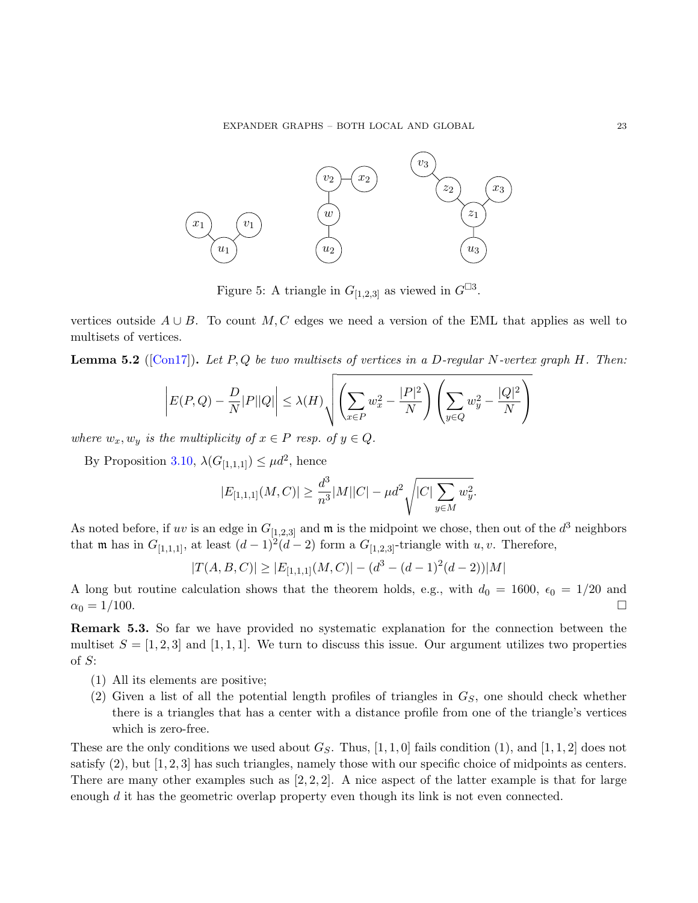<span id="page-22-0"></span>

Figure 5: A triangle in  $G_{[1,2,3]}$  as viewed in  $G^{\Box 3}$ .

vertices outside  $A \cup B$ . To count M, C edges we need a version of the EML that applies as well to multisets of vertices.

**Lemma 5.2** ([\[Con17\]](#page-28-6)). Let P, Q be two multisets of vertices in a D-regular N-vertex graph H. Then:

$$
\left|E(P,Q)-\frac{D}{N}|P||Q|\right|\leq \lambda(H)\sqrt{\left(\sum_{x\in P}w_x^2-\frac{|P|^2}{N}\right)\left(\sum_{y\in Q}w_y^2-\frac{|Q|^2}{N}\right)}
$$

where  $w_x, w_y$  is the multiplicity of  $x \in P$  resp. of  $y \in Q$ .

By Proposition [3.10,](#page-12-1)  $\lambda(G_{[1,1,1]}) \leq \mu d^2$ , hence

$$
|E_{[1,1,1]}(M,C)| \ge \frac{d^3}{n^3}|M||C| - \mu d^2 \sqrt{|C| \sum_{y \in M} w_y^2}.
$$

As noted before, if uv is an edge in  $G_{[1,2,3]}$  and  $\mathfrak{m}$  is the midpoint we chose, then out of the  $d^3$  neighbors that **m** has in  $G_{[1,1,1]}$ , at least  $(d-1)^2(d-2)$  form a  $G_{[1,2,3]}$ -triangle with u, v. Therefore,

$$
|T(A, B, C)| \ge |E_{[1,1,1]}(M, C)| - (d^3 - (d-1)^2(d-2))|M|
$$

A long but routine calculation shows that the theorem holds, e.g., with  $d_0 = 1600$ ,  $\epsilon_0 = 1/20$  and  $\alpha_0 = 1/100.$ 

Remark 5.3. So far we have provided no systematic explanation for the connection between the multiset  $S = \begin{bmatrix} 1, 2, 3 \end{bmatrix}$  and  $\begin{bmatrix} 1, 1, 1 \end{bmatrix}$ . We turn to discuss this issue. Our argument utilizes two properties of S:

- (1) All its elements are positive;
- (2) Given a list of all the potential length profiles of triangles in  $G<sub>S</sub>$ , one should check whether there is a triangles that has a center with a distance profile from one of the triangle's vertices which is zero-free.

These are the only conditions we used about  $G_S$ . Thus, [1, 1, 0] fails condition (1), and [1, 1, 2] does not satisfy  $(2)$ , but  $[1, 2, 3]$  has such triangles, namely those with our specific choice of midpoints as centers. There are many other examples such as  $[2, 2, 2]$ . A nice aspect of the latter example is that for large enough  $d$  it has the geometric overlap property even though its link is not even connected.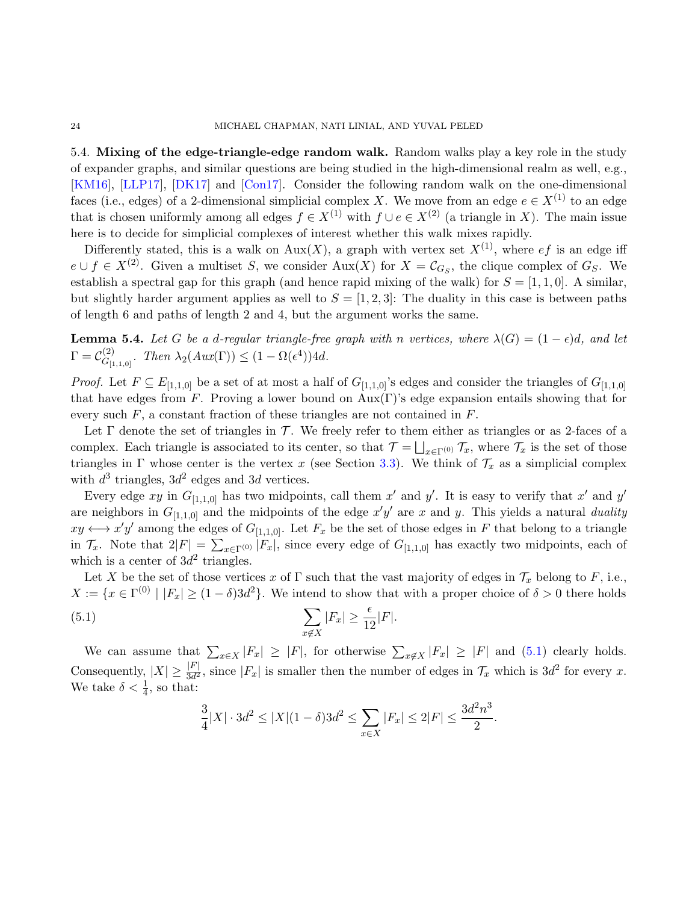#### 24 MICHAEL CHAPMAN, NATI LINIAL, AND YUVAL PELED

5.4. Mixing of the edge-triangle-edge random walk. Random walks play a key role in the study of expander graphs, and similar questions are being studied in the high-dimensional realm as well, e.g., [\[KM16\]](#page-28-12), [\[LLP17\]](#page-28-13), [\[DK17\]](#page-28-1) and [\[Con17\]](#page-28-6). Consider the following random walk on the one-dimensional faces (i.e., edges) of a 2-dimensional simplicial complex X. We move from an edge  $e \in X^{(1)}$  to an edge that is chosen uniformly among all edges  $f \in X^{(1)}$  with  $f \cup e \in X^{(2)}$  (a triangle in X). The main issue here is to decide for simplicial complexes of interest whether this walk mixes rapidly.

Differently stated, this is a walk on Aux(X), a graph with vertex set  $X^{(1)}$ , where  $ef$  is an edge iff  $e \cup f \in X^{(2)}$ . Given a multiset S, we consider Aux(X) for  $X = \mathcal{C}_{G_S}$ , the clique complex of  $G_S$ . We establish a spectral gap for this graph (and hence rapid mixing of the walk) for  $S = [1, 1, 0]$ . A similar, but slightly harder argument applies as well to  $S = [1, 2, 3]$ . The duality in this case is between paths of length 6 and paths of length 2 and 4, but the argument works the same.

<span id="page-23-1"></span>**Lemma 5.4.** Let G be a d-regular triangle-free graph with n vertices, where  $\lambda(G) = (1 - \epsilon)d$ , and let  $\Gamma=\mathcal{C}_{G_U}^{(2)}$  $G_{[1,1,0]}^{(2)}$ . Then  $\lambda_2(Aux(\Gamma)) \leq (1 - \Omega(\epsilon^4))4d$ .

*Proof.* Let  $F \subseteq E_{[1,1,0]}$  be a set of at most a half of  $G_{[1,1,0]}$ 's edges and consider the triangles of  $G_{[1,1,0]}$ that have edges from F. Proving a lower bound on  $Aux(\Gamma)$ 's edge expansion entails showing that for every such  $F$ , a constant fraction of these triangles are not contained in  $F$ .

Let  $\Gamma$  denote the set of triangles in  $\mathcal T$ . We freely refer to them either as triangles or as 2-faces of a complex. Each triangle is associated to its center, so that  $\mathcal{T} = \bigsqcup_{x \in \Gamma^{(0)}} \mathcal{T}_x$ , where  $\mathcal{T}_x$  is the set of those triangles in Γ whose center is the vertex x (see Section [3.3\)](#page-12-0). We think of  $\mathcal{T}_x$  as a simplicial complex with  $d^3$  triangles,  $3d^2$  edges and 3d vertices.

Every edge xy in  $G_{[1,1,0]}$  has two midpoints, call them x' and y'. It is easy to verify that x' and y' are neighbors in  $G_{[1,1,0]}$  and the midpoints of the edge  $x'y'$  are x and y. This yields a natural duality  $xy \leftrightarrow x'y'$  among the edges of  $G_{[1,1,0]}$ . Let  $F_x$  be the set of those edges in F that belong to a triangle in  $\mathcal{T}_x$ . Note that  $2|F| = \sum_{x \in \Gamma^{(0)}} |F_x|$ , since every edge of  $G_{[1,1,0]}$  has exactly two midpoints, each of which is a center of  $3d^2$  triangles.

Let X be the set of those vertices x of  $\Gamma$  such that the vast majority of edges in  $\mathcal{T}_x$  belong to F, i.e.,  $X := \{x \in \Gamma^{(0)} \mid |F_x| \geq (1 - \delta)3d^2\}.$  We intend to show that with a proper choice of  $\delta > 0$  there holds

(5.1) 
$$
\sum_{x \notin X} |F_x| \ge \frac{\epsilon}{12}|F|.
$$

We can assume that  $\sum_{x\in X} |F_x| \geq |F|$ , for otherwise  $\sum_{x\notin X} |F_x| \geq |F|$  and [\(5.1\)](#page-23-0) clearly holds. Consequently,  $|X| \geq \frac{|F|}{3d^2}$ , since  $|F_x|$  is smaller then the number of edges in  $\mathcal{T}_x$  which is  $3d^2$  for every x. We take  $\delta < \frac{1}{4}$ , so that:

<span id="page-23-0"></span>
$$
\frac{3}{4}|X|\cdot 3d^2\leq |X|(1-\delta)3d^2\leq \sum_{x\in X}|F_x|\leq 2|F|\leq \frac{3d^2n^3}{2}.
$$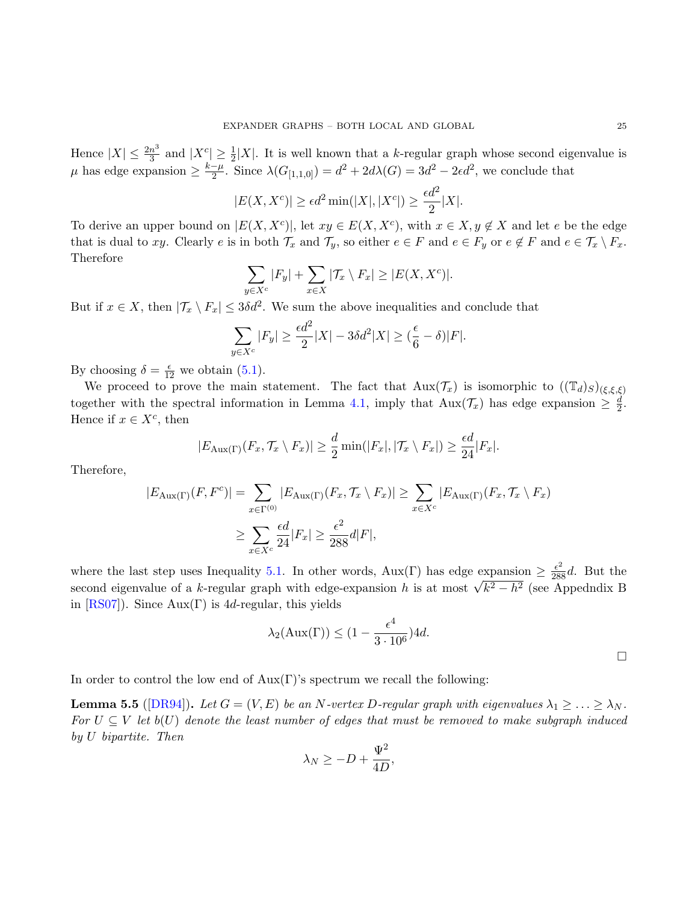Hence  $|X| \leq \frac{2n^3}{3}$  $\frac{n^3}{3}$  and  $|X^c| \geq \frac{1}{2}|X|$ . It is well known that a k-regular graph whose second eigenvalue is  $\mu$  has edge expansion  $\geq \frac{k-\mu}{2}$  $\frac{-\mu}{2}$ . Since  $\lambda(G_{[1,1,0]}) = d^2 + 2d\lambda(G) = 3d^2 - 2\epsilon d^2$ , we conclude that

$$
|E(X, X^c)| \ge \epsilon d^2 \min(|X|, |X^c|) \ge \frac{\epsilon d^2}{2}|X|.
$$

To derive an upper bound on  $|E(X, X^c)|$ , let  $xy \in E(X, X^c)$ , with  $x \in X, y \notin X$  and let e be the edge that is dual to xy. Clearly e is in both  $\mathcal{T}_x$  and  $\mathcal{T}_y$ , so either  $e \in F$  and  $e \in F_y$  or  $e \notin F$  and  $e \in \mathcal{T}_x \setminus F_x$ . Therefore

$$
\sum_{y \in X^c} |F_y| + \sum_{x \in X} |\mathcal{T}_x \setminus F_x| \ge |E(X, X^c)|.
$$

But if  $x \in X$ , then  $|\mathcal{T}_x \setminus F_x| \leq 3\delta d^2$ . We sum the above inequalities and conclude that

$$
\sum_{y \in X^c} |F_y| \ge \frac{\epsilon d^2}{2} |X| - 3\delta d^2 |X| \ge (\frac{\epsilon}{6} - \delta)|F|.
$$

By choosing  $\delta = \frac{\epsilon}{12}$  we obtain [\(5.1\)](#page-23-0).

We proceed to prove the main statement. The fact that  $\text{Aux}(\mathcal{T}_x)$  is isomorphic to  $((\mathbb{T}_d)_S)_{(\xi,\xi,\xi)}$ together with the spectral information in Lemma [4.1,](#page-19-1) imply that  $\text{Aux}(\mathcal{T}_x)$  has edge expansion  $\geq \frac{d}{2}$  $\frac{d}{2}$ . Hence if  $x \in X^c$ , then

$$
|E_{\text{Aux}(\Gamma)}(F_x, \mathcal{T}_x \setminus F_x)| \geq \frac{d}{2} \min(|F_x|, |\mathcal{T}_x \setminus F_x|) \geq \frac{\epsilon d}{24} |F_x|.
$$

Therefore,

$$
|E_{\text{Aux}}(r)(F, F^c)| = \sum_{x \in \Gamma^{(0)}} |E_{\text{Aux}}(r)(F_x, \mathcal{T}_x \setminus F_x)| \ge \sum_{x \in X^c} |E_{\text{Aux}}(r)(F_x, \mathcal{T}_x \setminus F_x)|
$$
  

$$
\ge \sum_{x \in X^c} \frac{\epsilon d}{24} |F_x| \ge \frac{\epsilon^2}{288} d|F|,
$$

where the last step uses Inequality [5.1.](#page-23-0) In other words,  $Aux(\Gamma)$  has edge expansion  $\geq \frac{\epsilon^2}{288}d$ . But the where the last step uses inequality 3.1. In other words,  $Aux(t)$  has edge expansion  $\geq \frac{288}{288}$ . But the second eigenvalue of a k-regular graph with edge-expansion h is at most  $\sqrt{k^2 - h^2}$  (see Appedndix B in  $[RS07]$ ). Since Aux(Γ) is 4*d*-regular, this yields

$$
\lambda_2(\text{Aux}(\Gamma)) \le (1 - \frac{\epsilon^4}{3 \cdot 10^6}) 4d.
$$

In order to control the low end of  $Aux(\Gamma)$ 's spectrum we recall the following:

<span id="page-24-0"></span>**Lemma 5.5** ([\[DR94\]](#page-28-14)). Let  $G = (V, E)$  be an N-vertex D-regular graph with eigenvalues  $\lambda_1 \geq \ldots \geq \lambda_N$ . For  $U \subseteq V$  let  $b(U)$  denote the least number of edges that must be removed to make subgraph induced by U bipartite. Then

$$
\lambda_N \ge -D + \frac{\Psi^2}{4D},
$$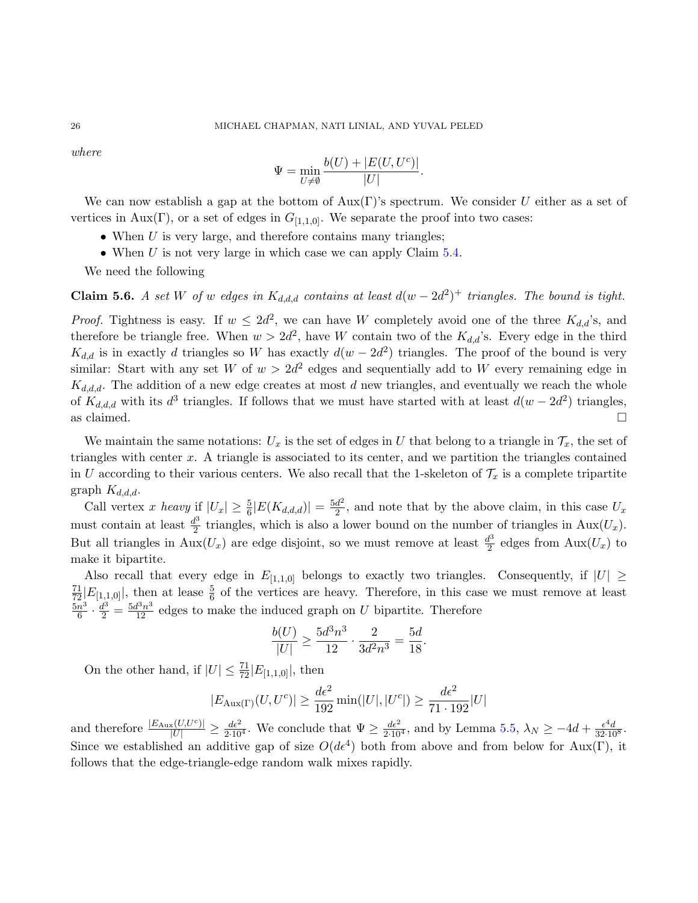where

$$
\Psi = \min_{U \neq \emptyset} \frac{b(U) + |E(U, U^c)|}{|U|}.
$$

We can now establish a gap at the bottom of  $Aux(\Gamma)$ 's spectrum. We consider U either as a set of vertices in Aux(Γ), or a set of edges in  $G_{[1,1,0]}$ . We separate the proof into two cases:

- When  $U$  is very large, and therefore contains many triangles;
- When  $U$  is not very large in which case we can apply Claim  $5.4$ .

We need the following

**Claim 5.6.** A set W of w edges in  $K_{d,d,d}$  contains at least  $d(w-2d^2)^+$  triangles. The bound is tight.

*Proof.* Tightness is easy. If  $w \leq 2d^2$ , we can have W completely avoid one of the three  $K_{d,d}$ 's, and therefore be triangle free. When  $w > 2d^2$ , have W contain two of the  $K_{d,d}$ 's. Every edge in the third  $K_{d,d}$  is in exactly d triangles so W has exactly  $d(w-2d^2)$  triangles. The proof of the bound is very similar: Start with any set W of  $w > 2d^2$  edges and sequentially add to W every remaining edge in  $K_{d,d,d}$ . The addition of a new edge creates at most d new triangles, and eventually we reach the whole of  $K_{d,d,d}$  with its  $d^3$  triangles. If follows that we must have started with at least  $d(w-2d^2)$  triangles, as claimed.  $\Box$ 

We maintain the same notations:  $U_x$  is the set of edges in U that belong to a triangle in  $\mathcal{T}_x$ , the set of triangles with center  $x$ . A triangle is associated to its center, and we partition the triangles contained in U according to their various centers. We also recall that the 1-skeleton of  $\mathcal{T}_x$  is a complete tripartite graph  $K_{d,d,d}$ .

Call vertex x heavy if  $|U_x| \geq \frac{5}{6} |E(K_{d,d,d})| = \frac{5d^2}{2}$  $\frac{d^2}{2}$ , and note that by the above claim, in this case  $U_x$ must contain at least  $\frac{d^3}{2}$  $\frac{d^2}{2}$  triangles, which is also a lower bound on the number of triangles in Aux $(U_x)$ . But all triangles in  $\text{Aux}(U_x)$  are edge disjoint, so we must remove at least  $\frac{d^3}{2}$  $\frac{d^2}{2}$  edges from  $\text{Aux}(U_x)$  to make it bipartite.

Also recall that every edge in  $E_{[1,1,0]}$  belongs to exactly two triangles. Consequently, if  $|U| \ge$  $\frac{71}{72}$  $E_{[1,1,0]}$ , then at lease  $\frac{5}{6}$  of the vertices are heavy. Therefore, in this case we must remove at least  $5n^3$  $\frac{n^3}{6} \cdot \frac{d^3}{2} = \frac{5d^3n^3}{12}$  edges to make the induced graph on U bipartite. Therefore

$$
\frac{b(U)}{|U|} \ge \frac{5d^3n^3}{12} \cdot \frac{2}{3d^2n^3} = \frac{5d}{18}.
$$

On the other hand, if  $|U| \leq \frac{71}{72} |E_{[1,1,0]}|$ , then

$$
|E_{\text{Aux}(\Gamma)}(U, U^c)| \ge \frac{d\epsilon^2}{192} \min(|U|, |U^c|) \ge \frac{d\epsilon^2}{71 \cdot 192} |U|
$$

and therefore  $\frac{|E_{\text{Aux}}(U,U^c)|}{|U|} \ge \frac{d\epsilon^2}{2\cdot 10^4}$ . We conclude that  $\Psi \ge \frac{d\epsilon^2}{2\cdot 10^4}$ , and by Lemma [5.5,](#page-24-0)  $\lambda_N \ge -4d + \frac{\epsilon^4d}{32\cdot 10^8}$ . Since we established an additive gap of size  $O(d\epsilon^4)$  both from above and from below for Aux(Γ), it follows that the edge-triangle-edge random walk mixes rapidly.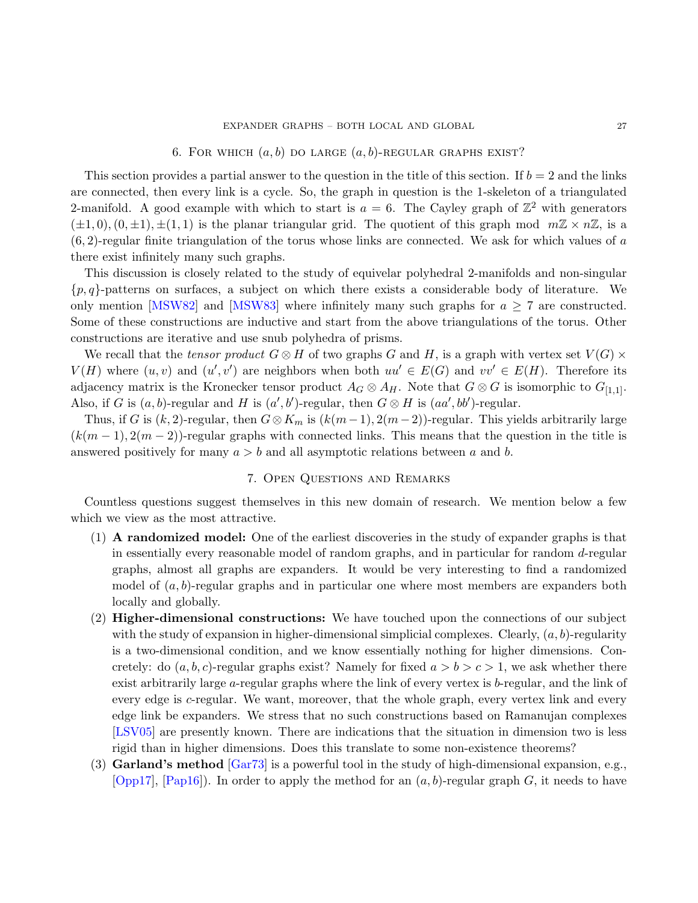## 6. FOR WHICH  $(a, b)$  DO LARGE  $(a, b)$ -REGULAR GRAPHS EXIST?

<span id="page-26-0"></span>This section provides a partial answer to the question in the title of this section. If  $b = 2$  and the links are connected, then every link is a cycle. So, the graph in question is the 1-skeleton of a triangulated 2-manifold. A good example with which to start is  $a = 6$ . The Cayley graph of  $\mathbb{Z}^2$  with generators  $(\pm 1, 0), (0, \pm 1), \pm (1, 1)$  is the planar triangular grid. The quotient of this graph mod  $m\mathbb{Z} \times n\mathbb{Z}$ , is a  $(6, 2)$ -regular finite triangulation of the torus whose links are connected. We ask for which values of a there exist infinitely many such graphs.

This discussion is closely related to the study of equivelar polyhedral 2-manifolds and non-singular  $\{p,q\}$ -patterns on surfaces, a subject on which there exists a considerable body of literature. We only mention [\[MSW82\]](#page-28-15) and [\[MSW83\]](#page-28-16) where infinitely many such graphs for  $a \geq 7$  are constructed. Some of these constructions are inductive and start from the above triangulations of the torus. Other constructions are iterative and use snub polyhedra of prisms.

We recall that the tensor product  $G \otimes H$  of two graphs G and H, is a graph with vertex set  $V(G) \times$  $V(H)$  where  $(u, v)$  and  $(u', v')$  are neighbors when both  $uu' \in E(G)$  and  $vv' \in E(H)$ . Therefore its adjacency matrix is the Kronecker tensor product  $A_G \otimes A_H$ . Note that  $G \otimes G$  is isomorphic to  $G_{[1,1]}$ . Also, if G is  $(a, b)$ -regular and H is  $(a', b')$ -regular, then  $G \otimes H$  is  $(aa', bb')$ -regular.

Thus, if G is  $(k, 2)$ -regular, then  $G \otimes K_m$  is  $(k(m-1), 2(m-2))$ -regular. This yields arbitrarily large  $(k(m-1), 2(m-2))$ -regular graphs with connected links. This means that the question in the title is answered positively for many  $a > b$  and all asymptotic relations between a and b.

### 7. Open Questions and Remarks

Countless questions suggest themselves in this new domain of research. We mention below a few which we view as the most attractive.

- (1) A randomized model: One of the earliest discoveries in the study of expander graphs is that in essentially every reasonable model of random graphs, and in particular for random d-regular graphs, almost all graphs are expanders. It would be very interesting to find a randomized model of  $(a, b)$ -regular graphs and in particular one where most members are expanders both locally and globally.
- (2) Higher-dimensional constructions: We have touched upon the connections of our subject with the study of expansion in higher-dimensional simplicial complexes. Clearly,  $(a, b)$ -regularity is a two-dimensional condition, and we know essentially nothing for higher dimensions. Concretely: do  $(a, b, c)$ -regular graphs exist? Namely for fixed  $a > b > c > 1$ , we ask whether there exist arbitrarily large a-regular graphs where the link of every vertex is b-regular, and the link of every edge is  $c$ -regular. We want, moreover, that the whole graph, every vertex link and every edge link be expanders. We stress that no such constructions based on Ramanujan complexes [\[LSV05\]](#page-28-2) are presently known. There are indications that the situation in dimension two is less rigid than in higher dimensions. Does this translate to some non-existence theorems?
- (3) **Garland's method** [\[Gar73\]](#page-28-17) is a powerful tool in the study of high-dimensional expansion, e.g., [\[Opp17\]](#page-28-18), [\[Pap16\]](#page-28-19)). In order to apply the method for an  $(a, b)$ -regular graph G, it needs to have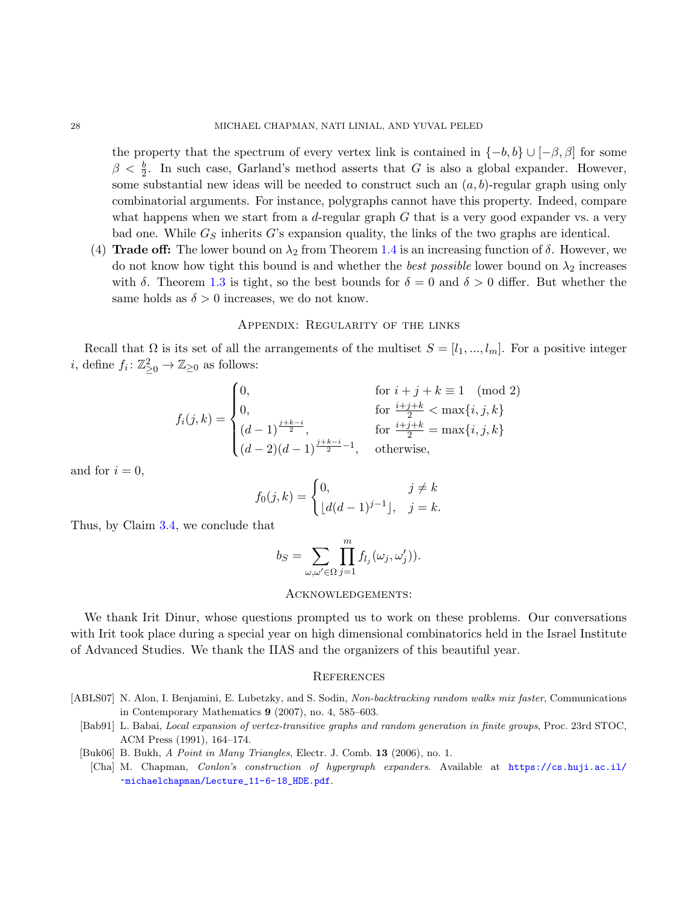the property that the spectrum of every vertex link is contained in  $\{-b, b\} \cup [-\beta, \beta]$  for some  $\beta < \frac{b}{2}$ . In such case, Garland's method asserts that G is also a global expander. However, some substantial new ideas will be needed to construct such an  $(a, b)$ -regular graph using only combinatorial arguments. For instance, polygraphs cannot have this property. Indeed, compare what happens when we start from a  $d$ -regular graph  $G$  that is a very good expander vs. a very bad one. While  $G<sub>S</sub>$  inherits G's expansion quality, the links of the two graphs are identical.

(4) Trade off: The lower bound on  $\lambda_2$  from Theorem [1.4](#page-2-2) is an increasing function of  $\delta$ . However, we do not know how tight this bound is and whether the *best possible* lower bound on  $\lambda_2$  increases with  $\delta$ . Theorem [1.3](#page-1-0) is tight, so the best bounds for  $\delta = 0$  and  $\delta > 0$  differ. But whether the same holds as  $\delta > 0$  increases, we do not know.

## Appendix: Regularity of the links

Recall that  $\Omega$  is its set of all the arrangements of the multiset  $S = [l_1, ..., l_m]$ . For a positive integer *i*, define  $f_i: \mathbb{Z}_{\geq 0}^2 \to \mathbb{Z}_{\geq 0}$  as follows:

$$
f_i(j,k) = \begin{cases} 0, & \text{for } i+j+k \equiv 1 \pmod{2} \\ 0, & \text{for } \frac{i+j+k}{2} < \max\{i,j,k\} \\ (d-1)^{\frac{j+k-i}{2}}, & \text{for } \frac{i+j+k}{2} = \max\{i,j,k\} \\ (d-2)(d-1)^{\frac{j+k-i}{2}-1}, & \text{otherwise,} \end{cases}
$$

and for  $i = 0$ ,

$$
f_0(j,k) = \begin{cases} 0, & j \neq k \\ \lfloor d(d-1)^{j-1} \rfloor, & j = k. \end{cases}
$$

Thus, by Claim [3.4,](#page-9-0) we conclude that

$$
b_S = \sum_{\omega,\omega' \in \Omega} \prod_{j=1}^m f_{l_j}(\omega_j, \omega'_j)).
$$

## Acknowledgements:

We thank Irit Dinur, whose questions prompted us to work on these problems. Our conversations with Irit took place during a special year on high dimensional combinatorics held in the Israel Institute of Advanced Studies. We thank the IIAS and the organizers of this beautiful year.

### **REFERENCES**

- <span id="page-27-3"></span><span id="page-27-2"></span><span id="page-27-1"></span><span id="page-27-0"></span>[ABLS07] N. Alon, I. Benjamini, E. Lubetzky, and S. Sodin, Non-backtracking random walks mix faster, Communications in Contemporary Mathematics 9 (2007), no. 4, 585–603.
	- [Bab91] L. Babai, Local expansion of vertex-transitive graphs and random generation in finite groups, Proc. 23rd STOC, ACM Press (1991), 164–174.
	- [Buk06] B. Bukh, A Point in Many Triangles, Electr. J. Comb. 13 (2006), no. 1.
	- [Cha] M. Chapman, Conlon's construction of hypergraph expanders. Available at [https://cs.huji.ac.il/](https://cs.huji.ac.il/~michaelchapman/Lecture_11-6-18_HDE.pdf) [~michaelchapman/Lecture\\_11-6-18\\_HDE.pdf](https://cs.huji.ac.il/~michaelchapman/Lecture_11-6-18_HDE.pdf).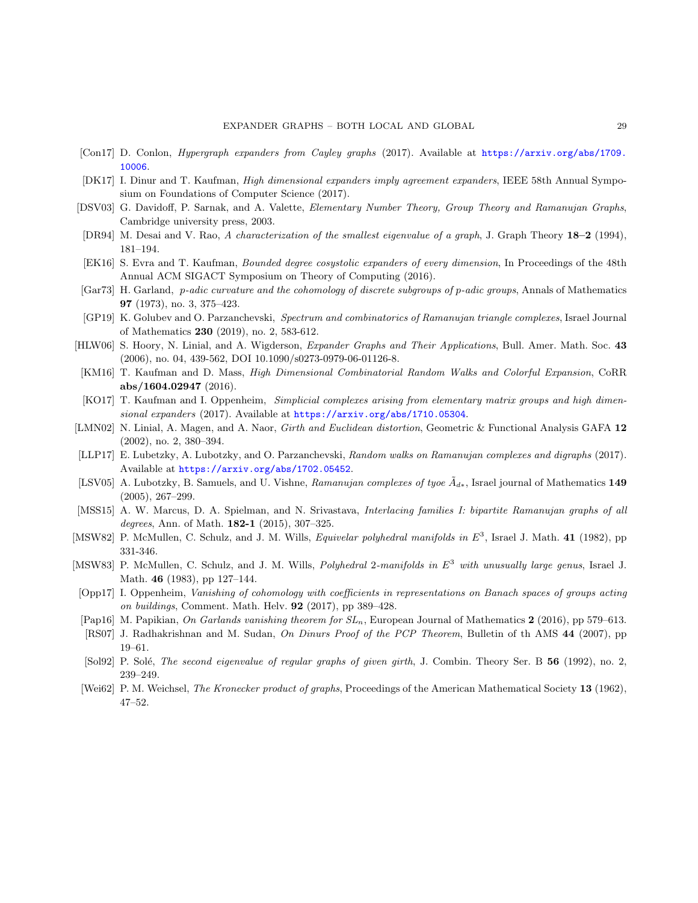- <span id="page-28-6"></span>[Con17] D. Conlon, Hypergraph expanders from Cayley graphs (2017). Available at [https://arxiv.org/abs/1709.](https://arxiv.org/abs/1709.10006) [10006](https://arxiv.org/abs/1709.10006).
- <span id="page-28-1"></span>[DK17] I. Dinur and T. Kaufman, High dimensional expanders imply agreement expanders, IEEE 58th Annual Symposium on Foundations of Computer Science (2017).
- <span id="page-28-10"></span>[DSV03] G. Davidoff, P. Sarnak, and A. Valette, Elementary Number Theory, Group Theory and Ramanujan Graphs, Cambridge university press, 2003.
- <span id="page-28-14"></span>[DR94] M. Desai and V. Rao, A characterization of the smallest eigenvalue of a graph, J. Graph Theory 18–2 (1994), 181–194.
- <span id="page-28-4"></span>[EK16] S. Evra and T. Kaufman, Bounded degree cosystolic expanders of every dimension, In Proceedings of the 48th Annual ACM SIGACT Symposium on Theory of Computing (2016).
- <span id="page-28-17"></span>[Gar73] H. Garland, p-adic curvature and the cohomology of discrete subgroups of p-adic groups, Annals of Mathematics 97 (1973), no. 3, 375–423.
- <span id="page-28-3"></span>[GP19] K. Golubev and O. Parzanchevski, Spectrum and combinatorics of Ramanujan triangle complexes, Israel Journal of Mathematics 230 (2019), no. 2, 583-612.
- <span id="page-28-7"></span>[HLW06] S. Hoory, N. Linial, and A. Wigderson, Expander Graphs and Their Applications, Bull. Amer. Math. Soc. 43 (2006), no. 04, 439-562, DOI 10.1090/s0273-0979-06-01126-8.
- <span id="page-28-12"></span>[KM16] T. Kaufman and D. Mass, High Dimensional Combinatorial Random Walks and Colorful Expansion, CoRR abs/1604.02947 (2016).
- <span id="page-28-5"></span>[KO17] T. Kaufman and I. Oppenheim, Simplicial complexes arising from elementary matrix groups and high dimensional expanders (2017). Available at <https://arxiv.org/abs/1710.05304>.
- <span id="page-28-11"></span>[LMN02] N. Linial, A. Magen, and A. Naor, Girth and Euclidean distortion, Geometric & Functional Analysis GAFA 12 (2002), no. 2, 380–394.
- <span id="page-28-13"></span>[LLP17] E. Lubetzky, A. Lubotzky, and O. Parzanchevski, Random walks on Ramanujan complexes and digraphs (2017). Available at <https://arxiv.org/abs/1702.05452>.
- <span id="page-28-2"></span>[LSV05] A. Lubotzky, B. Samuels, and U. Vishne, Ramanujan complexes of tyoe  $\tilde{A}_{d*}$ , Israel journal of Mathematics 149 (2005), 267–299.
- <span id="page-28-8"></span>[MSS15] A. W. Marcus, D. A. Spielman, and N. Srivastava, Interlacing families I: bipartite Ramanujan graphs of all degrees, Ann. of Math. **182-1** (2015), 307-325.
- <span id="page-28-15"></span>[MSW82] P. McMullen, C. Schulz, and J. M. Wills, *Equivelar polyhedral manifolds in*  $E^3$ , Israel J. Math. 41 (1982), pp 331-346.
- <span id="page-28-16"></span>[MSW83] P. McMullen, C. Schulz, and J. M. Wills, *Polyhedral 2-manifolds in*  $E^3$  with unusually large genus, Israel J. Math. 46 (1983), pp 127–144.
- <span id="page-28-18"></span>[Opp17] I. Oppenheim, Vanishing of cohomology with coefficients in representations on Banach spaces of groups acting on buildings, Comment. Math. Helv. 92 (2017), pp 389–428.
- <span id="page-28-19"></span>[Pap16] M. Papikian, On Garlands vanishing theorem for  $SL_n$ , European Journal of Mathematics 2 (2016), pp 579–613.
- <span id="page-28-0"></span>[RS07] J. Radhakrishnan and M. Sudan, On Dinurs Proof of the PCP Theorem, Bulletin of th AMS 44 (2007), pp 19–61.
- <span id="page-28-9"></span>[Sol92] P. Solé, *The second eigenvalue of regular graphs of given girth*, J. Combin. Theory Ser. B 56 (1992), no. 2, 239–249.
- [Wei62] P. M. Weichsel, The Kronecker product of graphs, Proceedings of the American Mathematical Society 13 (1962), 47–52.